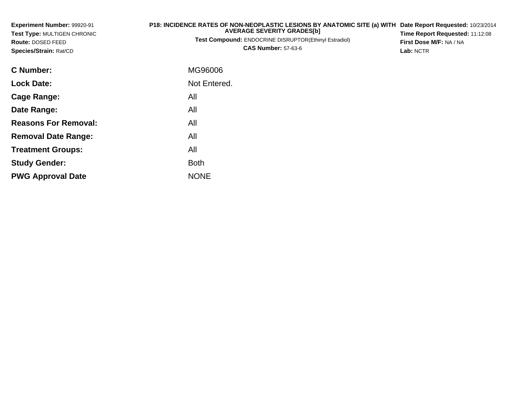| Experiment Number: 99920-91<br>Test Type: MULTIGEN CHRONIC<br>Route: DOSED FEED<br>Species/Strain: Rat/CD | P18: INCIDENCE RATES OF NON-NEOPLASTIC LESIONS BY ANATOMIC SITE (a) WITH<br><b>AVERAGE SEVERITY GRADES[b]</b><br>Test Compound: ENDOCRINE DISRUPTOR(Ethinyl Estradiol)<br><b>CAS Number: 57-63-6</b> | Date Report Requested: 10/23/2014<br>Time Report Requested: 11:12:08<br>First Dose M/F: NA / NA<br>Lab: NCTR |
|-----------------------------------------------------------------------------------------------------------|------------------------------------------------------------------------------------------------------------------------------------------------------------------------------------------------------|--------------------------------------------------------------------------------------------------------------|
| <b>C</b> Number:                                                                                          | MG96006                                                                                                                                                                                              |                                                                                                              |
| <b>Lock Date:</b>                                                                                         | Not Entered.                                                                                                                                                                                         |                                                                                                              |
| <b>Cage Range:</b>                                                                                        | All                                                                                                                                                                                                  |                                                                                                              |
| Date Range:                                                                                               | All                                                                                                                                                                                                  |                                                                                                              |
| <b>Reasons For Removal:</b>                                                                               | All                                                                                                                                                                                                  |                                                                                                              |
| <b>Removal Date Range:</b>                                                                                | All                                                                                                                                                                                                  |                                                                                                              |
| <b>Treatment Groups:</b>                                                                                  | All                                                                                                                                                                                                  |                                                                                                              |
| <b>Study Gender:</b>                                                                                      | <b>Both</b>                                                                                                                                                                                          |                                                                                                              |

e NONE

**PWG Approval Date**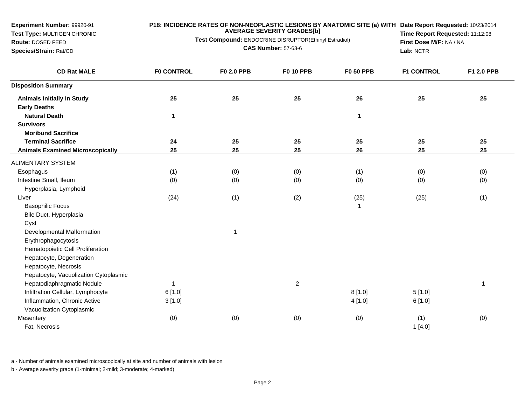**Test Type:** MULTIGEN CHRONIC

**Route:** DOSED FEED**Species/Strain:** Rat/CD

#### **P18: INCIDENCE RATES OF NON-NEOPLASTIC LESIONS BY ANATOMIC SITE (a) WITH AVERAGE SEVERITY GRADES[b] Date Report Requested:** 10/23/2014

**Test Compound:** ENDOCRINE DISRUPTOR(Ethinyl Estradiol)**CAS Number:** 57-63-6

**Time Report Requested:** 11:12:08**First Dose M/F:** NA / NA**Lab:** NCTR

| <b>CD Rat MALE</b>                      | <b>F0 CONTROL</b> | <b>F0 2.0 PPB</b> | <b>F0 10 PPB</b> | <b>F0 50 PPB</b> | <b>F1 CONTROL</b> | F1 2.0 PPB |
|-----------------------------------------|-------------------|-------------------|------------------|------------------|-------------------|------------|
| <b>Disposition Summary</b>              |                   |                   |                  |                  |                   |            |
| <b>Animals Initially In Study</b>       | 25                | 25                | 25               | 26               | 25                | 25         |
| <b>Early Deaths</b>                     |                   |                   |                  |                  |                   |            |
| <b>Natural Death</b>                    | $\mathbf{1}$      |                   |                  | $\mathbf{1}$     |                   |            |
| <b>Survivors</b>                        |                   |                   |                  |                  |                   |            |
| <b>Moribund Sacrifice</b>               |                   |                   |                  |                  |                   |            |
| <b>Terminal Sacrifice</b>               | 24                | 25                | 25               | 25               | 25                | 25         |
| <b>Animals Examined Microscopically</b> | 25                | 25                | 25               | 26               | 25                | 25         |
| <b>ALIMENTARY SYSTEM</b>                |                   |                   |                  |                  |                   |            |
| Esophagus                               | (1)               | (0)               | (0)              | (1)              | (0)               | (0)        |
| Intestine Small, Ileum                  | (0)               | (0)               | (0)              | (0)              | (0)               | (0)        |
| Hyperplasia, Lymphoid                   |                   |                   |                  |                  |                   |            |
| Liver                                   | (24)              | (1)               | (2)              | (25)             | (25)              | (1)        |
| <b>Basophilic Focus</b>                 |                   |                   |                  |                  |                   |            |
| Bile Duct, Hyperplasia                  |                   |                   |                  |                  |                   |            |
| Cyst                                    |                   |                   |                  |                  |                   |            |
| Developmental Malformation              |                   | 1                 |                  |                  |                   |            |
| Erythrophagocytosis                     |                   |                   |                  |                  |                   |            |
| Hematopoietic Cell Proliferation        |                   |                   |                  |                  |                   |            |
| Hepatocyte, Degeneration                |                   |                   |                  |                  |                   |            |
| Hepatocyte, Necrosis                    |                   |                   |                  |                  |                   |            |
| Hepatocyte, Vacuolization Cytoplasmic   |                   |                   |                  |                  |                   |            |
| Hepatodiaphragmatic Nodule              | 1                 |                   | $\overline{c}$   |                  |                   | 1          |
| Infiltration Cellular, Lymphocyte       | 6[1.0]            |                   |                  | 8[1.0]           | 5[1.0]            |            |
| Inflammation, Chronic Active            | 3[1.0]            |                   |                  | 4[1.0]           | 6[1.0]            |            |
| Vacuolization Cytoplasmic               |                   |                   |                  |                  |                   |            |
| Mesentery                               | (0)               | (0)               | (0)              | (0)              | (1)               | (0)        |
| Fat, Necrosis                           |                   |                   |                  |                  | 1[4.0]            |            |

a - Number of animals examined microscopically at site and number of animals with lesion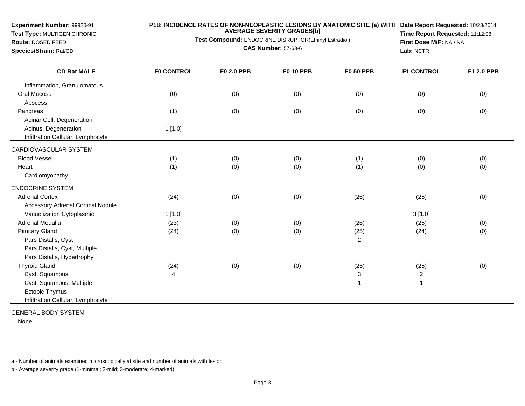**Test Type:** MULTIGEN CHRONIC

# **P18: INCIDENCE RATES OF NON-NEOPLASTIC LESIONS BY ANATOMIC SITE (a) WITH AVERAGE SEVERITY GRADES[b] Date Report Requested:** 10/23/2014

**Test Compound:** ENDOCRINE DISRUPTOR(Ethinyl Estradiol)

**Route:** DOSED FEED**Species/Strain:** Rat/CD

**CAS Number:** 57-63-6

**Time Report Requested:** 11:12:08**First Dose M/F:** NA / NA**Lab:** NCTR

| <b>CD Rat MALE</b>                       | <b>FO CONTROL</b> | <b>F0 2.0 PPB</b> | <b>F0 10 PPB</b> | <b>F0 50 PPB</b> | <b>F1 CONTROL</b> | F1 2.0 PPB |
|------------------------------------------|-------------------|-------------------|------------------|------------------|-------------------|------------|
| Inflammation, Granulomatous              |                   |                   |                  |                  |                   |            |
| Oral Mucosa                              | (0)               | (0)               | (0)              | (0)              | (0)               | (0)        |
| Abscess                                  |                   |                   |                  |                  |                   |            |
| Pancreas                                 | (1)               | (0)               | (0)              | (0)              | (0)               | (0)        |
| Acinar Cell, Degeneration                |                   |                   |                  |                  |                   |            |
| Acinus, Degeneration                     | 1[1.0]            |                   |                  |                  |                   |            |
| Infiltration Cellular, Lymphocyte        |                   |                   |                  |                  |                   |            |
| CARDIOVASCULAR SYSTEM                    |                   |                   |                  |                  |                   |            |
| <b>Blood Vessel</b>                      | (1)               | (0)               | (0)              | (1)              | (0)               | (0)        |
| Heart                                    | (1)               | (0)               | (0)              | (1)              | (0)               | (0)        |
| Cardiomyopathy                           |                   |                   |                  |                  |                   |            |
| <b>ENDOCRINE SYSTEM</b>                  |                   |                   |                  |                  |                   |            |
| <b>Adrenal Cortex</b>                    | (24)              | (0)               | (0)              | (26)             | (25)              | (0)        |
| <b>Accessory Adrenal Cortical Nodule</b> |                   |                   |                  |                  |                   |            |
| Vacuolization Cytoplasmic                | 1[1.0]            |                   |                  |                  | 3[1.0]            |            |
| <b>Adrenal Medulla</b>                   | (23)              | (0)               | (0)              | (26)             | (25)              | (0)        |
| <b>Pituitary Gland</b>                   | (24)              | (0)               | (0)              | (25)             | (24)              | (0)        |
| Pars Distalis, Cyst                      |                   |                   |                  | 2                |                   |            |
| Pars Distalis, Cyst, Multiple            |                   |                   |                  |                  |                   |            |
| Pars Distalis, Hypertrophy               |                   |                   |                  |                  |                   |            |
| <b>Thyroid Gland</b>                     | (24)              | (0)               | (0)              | (25)             | (25)              | (0)        |
| Cyst, Squamous                           | $\overline{4}$    |                   |                  | 3                | 2                 |            |
| Cyst, Squamous, Multiple                 |                   |                   |                  | $\overline{1}$   |                   |            |
| Ectopic Thymus                           |                   |                   |                  |                  |                   |            |
| Infiltration Cellular, Lymphocyte        |                   |                   |                  |                  |                   |            |

GENERAL BODY SYSTEM

None

a - Number of animals examined microscopically at site and number of animals with lesion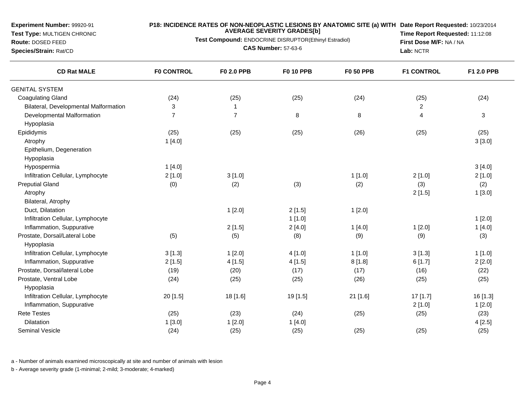**Test Type:** MULTIGEN CHRONIC

## **P18: INCIDENCE RATES OF NON-NEOPLASTIC LESIONS BY ANATOMIC SITE (a) WITH AVERAGE SEVERITY GRADES[b] Date Report Requested:** 10/23/2014

**Test Compound:** ENDOCRINE DISRUPTOR(Ethinyl Estradiol)

**Route:** DOSED FEED**Species/Strain:** Rat/CD

**CAS Number:** 57-63-6

**Time Report Requested:** 11:12:08**First Dose M/F:** NA / NA**Lab:** NCTR

| <b>CD Rat MALE</b>                    | <b>F0 CONTROL</b> | F0 2.0 PPB     | <b>F0 10 PPB</b> | <b>F0 50 PPB</b> | <b>F1 CONTROL</b> | F1 2.0 PPB   |
|---------------------------------------|-------------------|----------------|------------------|------------------|-------------------|--------------|
| <b>GENITAL SYSTEM</b>                 |                   |                |                  |                  |                   |              |
| <b>Coagulating Gland</b>              | (24)              | (25)           | (25)             | (24)             | (25)              | (24)         |
| Bilateral, Developmental Malformation | 3                 | $\overline{1}$ |                  |                  | $\overline{c}$    |              |
| Developmental Malformation            | $\overline{7}$    | $\overline{7}$ | 8                | 8                | $\overline{4}$    | $\mathbf{3}$ |
| Hypoplasia                            |                   |                |                  |                  |                   |              |
| Epididymis                            | (25)              | (25)           | (25)             | (26)             | (25)              | (25)         |
| Atrophy                               | 1[4.0]            |                |                  |                  |                   | 3[3.0]       |
| Epithelium, Degeneration              |                   |                |                  |                  |                   |              |
| Hypoplasia                            |                   |                |                  |                  |                   |              |
| Hypospermia                           | 1[4.0]            |                |                  |                  |                   | 3[4.0]       |
| Infiltration Cellular, Lymphocyte     | 2[1.0]            | 3[1.0]         |                  | 1[1.0]           | 2[1.0]            | 2[1.0]       |
| <b>Preputial Gland</b>                | (0)               | (2)            | (3)              | (2)              | (3)               | (2)          |
| Atrophy                               |                   |                |                  |                  | 2[1.5]            | 1[3.0]       |
| Bilateral, Atrophy                    |                   |                |                  |                  |                   |              |
| Duct, Dilatation                      |                   | 1[2.0]         | 2[1.5]           | 1[2.0]           |                   |              |
| Infiltration Cellular, Lymphocyte     |                   |                | 1[1.0]           |                  |                   | 1[2.0]       |
| Inflammation, Suppurative             |                   | 2[1.5]         | 2[4.0]           | 1[4.0]           | 1[2.0]            | 1[4.0]       |
| Prostate, Dorsal/Lateral Lobe         | (5)               | (5)            | (8)              | (9)              | (9)               | (3)          |
| Hypoplasia                            |                   |                |                  |                  |                   |              |
| Infiltration Cellular, Lymphocyte     | 3[1.3]            | 1[2.0]         | 4[1.0]           | 1[1.0]           | 3[1.3]            | 1[1.0]       |
| Inflammation, Suppurative             | 2[1.5]            | 4[1.5]         | 4[1.5]           | 8[1.8]           | 6[1.7]            | 2[2.0]       |
| Prostate, Dorsal/lateral Lobe         | (19)              | (20)           | (17)             | (17)             | (16)              | (22)         |
| Prostate, Ventral Lobe                | (24)              | (25)           | (25)             | (26)             | (25)              | (25)         |
| Hypoplasia                            |                   |                |                  |                  |                   |              |
| Infiltration Cellular, Lymphocyte     | 20 [1.5]          | 18 [1.6]       | 19 [1.5]         | 21 [1.6]         | 17 [1.7]          | 16 [1.3]     |
| Inflammation, Suppurative             |                   |                |                  |                  | 2[1.0]            | 1[2.0]       |
| <b>Rete Testes</b>                    | (25)              | (23)           | (24)             | (25)             | (25)              | (23)         |
| Dilatation                            | 1[3.0]            | 1[2.0]         | 1[4.0]           |                  |                   | 4[2.5]       |
| Seminal Vesicle                       | (24)              | (25)           | (25)             | (25)             | (25)              | (25)         |

a - Number of animals examined microscopically at site and number of animals with lesion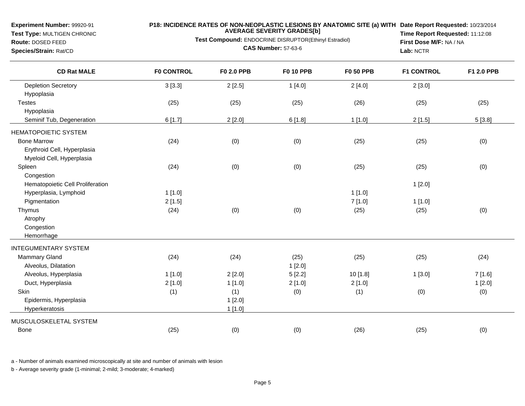**Test Type:** MULTIGEN CHRONIC

## **P18: INCIDENCE RATES OF NON-NEOPLASTIC LESIONS BY ANATOMIC SITE (a) WITH AVERAGE SEVERITY GRADES[b] Date Report Requested:** 10/23/2014

**Test Compound:** ENDOCRINE DISRUPTOR(Ethinyl Estradiol)

**Route:** DOSED FEED**Species/Strain:** Rat/CD

**CAS Number:** 57-63-6

**Time Report Requested:** 11:12:08**First Dose M/F:** NA / NA**Lab:** NCTR

| <b>CD Rat MALE</b>               | <b>F0 CONTROL</b> | <b>F0 2.0 PPB</b> | <b>F0 10 PPB</b> | <b>F0 50 PPB</b> | <b>F1 CONTROL</b> | F1 2.0 PPB |
|----------------------------------|-------------------|-------------------|------------------|------------------|-------------------|------------|
| <b>Depletion Secretory</b>       | 3[3.3]            | 2[2.5]            | 1[4.0]           | 2[4.0]           | 2[3.0]            |            |
| Hypoplasia                       |                   |                   |                  |                  |                   |            |
| <b>Testes</b>                    | (25)              | (25)              | (25)             | (26)             | (25)              | (25)       |
| Hypoplasia                       |                   |                   |                  |                  |                   |            |
| Seminif Tub, Degeneration        | 6[1.7]            | 2[2.0]            | 6[1.8]           | 1[1.0]           | 2[1.5]            | 5[3.8]     |
| <b>HEMATOPOIETIC SYSTEM</b>      |                   |                   |                  |                  |                   |            |
| <b>Bone Marrow</b>               | (24)              | (0)               | (0)              | (25)             | (25)              | (0)        |
| Erythroid Cell, Hyperplasia      |                   |                   |                  |                  |                   |            |
| Myeloid Cell, Hyperplasia        |                   |                   |                  |                  |                   |            |
| Spleen                           | (24)              | (0)               | (0)              | (25)             | (25)              | (0)        |
| Congestion                       |                   |                   |                  |                  |                   |            |
| Hematopoietic Cell Proliferation |                   |                   |                  |                  | 1[2.0]            |            |
| Hyperplasia, Lymphoid            | 1[1.0]            |                   |                  | 1[1.0]           |                   |            |
| Pigmentation                     | 2[1.5]            |                   |                  | 7[1.0]           | 1[1.0]            |            |
| Thymus                           | (24)              | (0)               | (0)              | (25)             | (25)              | (0)        |
| Atrophy                          |                   |                   |                  |                  |                   |            |
| Congestion                       |                   |                   |                  |                  |                   |            |
| Hemorrhage                       |                   |                   |                  |                  |                   |            |
| <b>INTEGUMENTARY SYSTEM</b>      |                   |                   |                  |                  |                   |            |
| <b>Mammary Gland</b>             | (24)              | (24)              | (25)             | (25)             | (25)              | (24)       |
| Alveolus, Dilatation             |                   |                   | 1[2.0]           |                  |                   |            |
| Alveolus, Hyperplasia            | 1[1.0]            | 2[2.0]            | 5[2.2]           | 10 [1.8]         | 1[3.0]            | 7[1.6]     |
| Duct, Hyperplasia                | 2[1.0]            | 1[1.0]            | 2[1.0]           | 2[1.0]           |                   | 1[2.0]     |
| Skin                             | (1)               | (1)               | (0)              | (1)              | (0)               | (0)        |
| Epidermis, Hyperplasia           |                   | 1[2.0]            |                  |                  |                   |            |
| Hyperkeratosis                   |                   | 1[1.0]            |                  |                  |                   |            |
| MUSCULOSKELETAL SYSTEM           |                   |                   |                  |                  |                   |            |
| Bone                             | (25)              | (0)               | (0)              | (26)             | (25)              | (0)        |

a - Number of animals examined microscopically at site and number of animals with lesion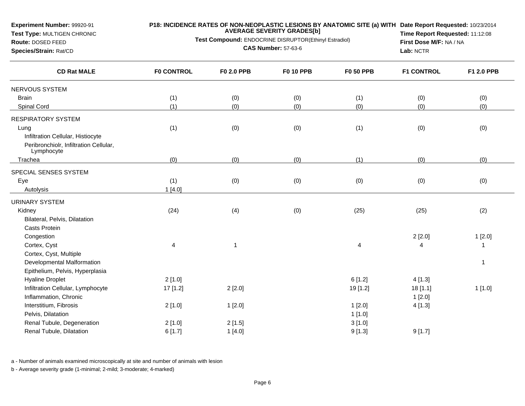**Test Type:** MULTIGEN CHRONIC

**Route:** DOSED FEED**Species/Strain:** Rat/CD

## **P18: INCIDENCE RATES OF NON-NEOPLASTIC LESIONS BY ANATOMIC SITE (a) WITH AVERAGE SEVERITY GRADES[b] Date Report Requested:** 10/23/2014

**Test Compound:** ENDOCRINE DISRUPTOR(Ethinyl Estradiol)

**CAS Number:** 57-63-6

**Time Report Requested:** 11:12:08**First Dose M/F:** NA / NA**Lab:** NCTR

| <b>CD Rat MALE</b>                                   | <b>FO CONTROL</b> | F0 2.0 PPB              | <b>F0 10 PPB</b> | <b>F0 50 PPB</b> | <b>F1 CONTROL</b> | F1 2.0 PPB     |
|------------------------------------------------------|-------------------|-------------------------|------------------|------------------|-------------------|----------------|
| NERVOUS SYSTEM                                       |                   |                         |                  |                  |                   |                |
| <b>Brain</b>                                         | (1)               | (0)                     | (0)              | (1)              | (0)               | (0)            |
| Spinal Cord                                          | (1)               | (0)                     | (0)              | (0)              | (0)               | (0)            |
| RESPIRATORY SYSTEM                                   |                   |                         |                  |                  |                   |                |
| Lung                                                 | (1)               | (0)                     | (0)              | (1)              | (0)               | (0)            |
| Infiltration Cellular, Histiocyte                    |                   |                         |                  |                  |                   |                |
| Peribronchiolr, Infiltration Cellular,<br>Lymphocyte |                   |                         |                  |                  |                   |                |
| Trachea                                              | (0)               | (0)                     | (0)              | (1)              | (0)               | (0)            |
| SPECIAL SENSES SYSTEM                                |                   |                         |                  |                  |                   |                |
| Eye                                                  | (1)               | (0)                     | (0)              | (0)              | (0)               | (0)            |
| Autolysis                                            | 1[4.0]            |                         |                  |                  |                   |                |
| URINARY SYSTEM                                       |                   |                         |                  |                  |                   |                |
| Kidney                                               | (24)              | (4)                     | (0)              | (25)             | (25)              | (2)            |
| Bilateral, Pelvis, Dilatation                        |                   |                         |                  |                  |                   |                |
| Casts Protein                                        |                   |                         |                  |                  |                   |                |
| Congestion                                           |                   |                         |                  |                  | 2[2.0]            | 1[2.0]         |
| Cortex, Cyst                                         | 4                 | $\overline{\mathbf{1}}$ |                  | 4                | 4                 | $\mathbf{1}$   |
| Cortex, Cyst, Multiple                               |                   |                         |                  |                  |                   |                |
| Developmental Malformation                           |                   |                         |                  |                  |                   | $\overline{1}$ |
| Epithelium, Pelvis, Hyperplasia                      |                   |                         |                  |                  |                   |                |
| <b>Hyaline Droplet</b>                               | 2[1.0]            |                         |                  | 6[1.2]           | 4[1.3]            |                |
| Infiltration Cellular, Lymphocyte                    | 17 [1.2]          | 2[2.0]                  |                  | 19 [1.2]         | 18 [1.1]          | 1[1.0]         |
| Inflammation, Chronic                                |                   |                         |                  |                  | 1[2.0]            |                |
| Interstitium, Fibrosis                               | 2[1.0]            | 1[2.0]                  |                  | 1[2.0]           | 4[1.3]            |                |
| Pelvis, Dilatation                                   |                   |                         |                  | 1[1.0]           |                   |                |
| Renal Tubule, Degeneration                           | 2[1.0]            | 2[1.5]                  |                  | 3[1.0]           |                   |                |
| Renal Tubule, Dilatation                             | 6[1.7]            | 1[4.0]                  |                  | 9[1.3]           | 9[1.7]            |                |
|                                                      |                   |                         |                  |                  |                   |                |

a - Number of animals examined microscopically at site and number of animals with lesion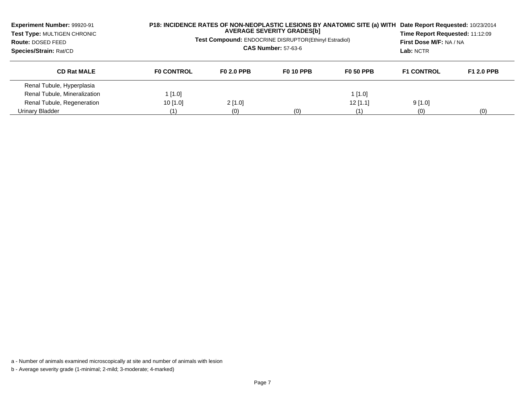| <b>Experiment Number: 99920-91</b><br>Test Type: MULTIGEN CHRONIC<br>Route: DOSED FEED<br>Species/Strain: Rat/CD | P18: INCIDENCE RATES OF NON-NEOPLASTIC LESIONS BY ANATOMIC SITE (a) WITH<br><b>Test Compound: ENDOCRINE DISRUPTOR(Ethinyl Estradiol)</b> | Date Report Requested: 10/23/2014<br>Time Report Requested: 11:12:09<br>First Dose M/F: NA / NA<br>Lab: NCTR |                  |                  |                   |                   |
|------------------------------------------------------------------------------------------------------------------|------------------------------------------------------------------------------------------------------------------------------------------|--------------------------------------------------------------------------------------------------------------|------------------|------------------|-------------------|-------------------|
| <b>CD Rat MALE</b>                                                                                               | <b>FO CONTROL</b>                                                                                                                        | F <sub>0</sub> 2.0 PPB                                                                                       | <b>F0 10 PPB</b> | <b>F0 50 PPB</b> | <b>F1 CONTROL</b> | <b>F1 2.0 PPB</b> |
| Renal Tubule, Hyperplasia                                                                                        |                                                                                                                                          |                                                                                                              |                  |                  |                   |                   |
| Renal Tubule, Mineralization                                                                                     | $1$ [1.0]                                                                                                                                |                                                                                                              |                  | 1[1.0]           |                   |                   |
| Renal Tubule, Regeneration                                                                                       | $10$ [1.0]                                                                                                                               | $2$ [1.0]                                                                                                    |                  | $12$ [1.1]       | 9[1.0]            |                   |
| Urinary Bladder                                                                                                  | (1)                                                                                                                                      | (0)                                                                                                          | (0)              | (1)              | (0)               | (0)               |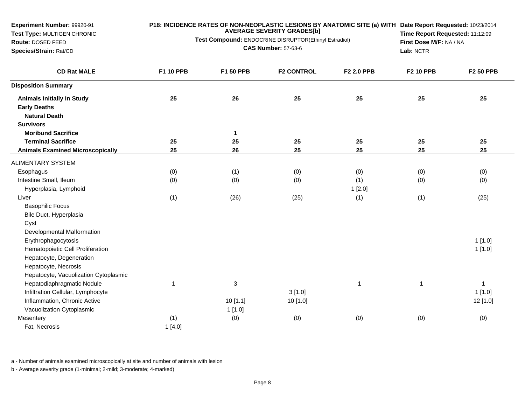**Test Type:** MULTIGEN CHRONIC

**Route:** DOSED FEED**Species/Strain:** Rat/CD

#### **P18: INCIDENCE RATES OF NON-NEOPLASTIC LESIONS BY ANATOMIC SITE (a) WITH AVERAGE SEVERITY GRADES[b] Date Report Requested:** 10/23/2014

**Test Compound:** ENDOCRINE DISRUPTOR(Ethinyl Estradiol)**CAS Number:** 57-63-6

**Time Report Requested:** 11:12:09**First Dose M/F:** NA / NA**Lab:** NCTR

| <b>CD Rat MALE</b>                      | F1 10 PPB    | F1 50 PPB    | <b>F2 CONTROL</b> | F2 2.0 PPB   | <b>F2 10 PPB</b> | <b>F2 50 PPB</b> |
|-----------------------------------------|--------------|--------------|-------------------|--------------|------------------|------------------|
| <b>Disposition Summary</b>              |              |              |                   |              |                  |                  |
| <b>Animals Initially In Study</b>       | 25           | 26           | 25                | 25           | 25               | 25               |
| <b>Early Deaths</b>                     |              |              |                   |              |                  |                  |
| <b>Natural Death</b>                    |              |              |                   |              |                  |                  |
| <b>Survivors</b>                        |              |              |                   |              |                  |                  |
| <b>Moribund Sacrifice</b>               |              | $\mathbf{1}$ |                   |              |                  |                  |
| <b>Terminal Sacrifice</b>               | 25           | 25           | 25                | 25           | 25               | 25               |
| <b>Animals Examined Microscopically</b> | 25           | 26           | 25                | 25           | 25               | 25               |
| <b>ALIMENTARY SYSTEM</b>                |              |              |                   |              |                  |                  |
| Esophagus                               | (0)          | (1)          | (0)               | (0)          | (0)              | (0)              |
| Intestine Small, Ileum                  | (0)          | (0)          | (0)               | (1)          | (0)              | (0)              |
| Hyperplasia, Lymphoid                   |              |              |                   | 1[2.0]       |                  |                  |
| Liver                                   | (1)          | (26)         | (25)              | (1)          | (1)              | (25)             |
| <b>Basophilic Focus</b>                 |              |              |                   |              |                  |                  |
| Bile Duct, Hyperplasia                  |              |              |                   |              |                  |                  |
| Cyst                                    |              |              |                   |              |                  |                  |
| Developmental Malformation              |              |              |                   |              |                  |                  |
| Erythrophagocytosis                     |              |              |                   |              |                  | 1[1.0]           |
| Hematopoietic Cell Proliferation        |              |              |                   |              |                  | 1[1.0]           |
| Hepatocyte, Degeneration                |              |              |                   |              |                  |                  |
| Hepatocyte, Necrosis                    |              |              |                   |              |                  |                  |
| Hepatocyte, Vacuolization Cytoplasmic   |              |              |                   |              |                  |                  |
| Hepatodiaphragmatic Nodule              | $\mathbf{1}$ | 3            |                   | $\mathbf{1}$ | 1                | $\overline{1}$   |
| Infiltration Cellular, Lymphocyte       |              |              | 3[1.0]            |              |                  | 1[1.0]           |
| Inflammation, Chronic Active            |              | 10[1.1]      | 10 [1.0]          |              |                  | 12 [1.0]         |
| Vacuolization Cytoplasmic               |              | 1[1.0]       |                   |              |                  |                  |
| Mesentery                               | (1)          | (0)          | (0)               | (0)          | (0)              | (0)              |
| Fat, Necrosis                           | 1[4.0]       |              |                   |              |                  |                  |

a - Number of animals examined microscopically at site and number of animals with lesion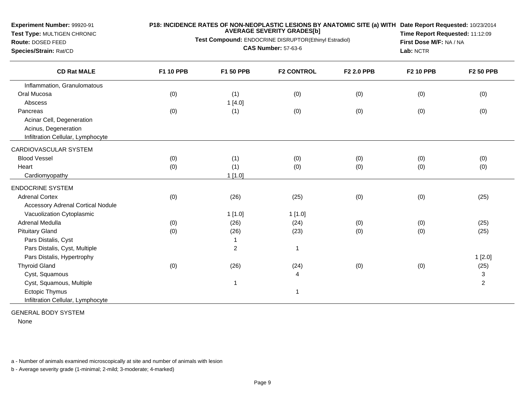**Test Type:** MULTIGEN CHRONIC

#### **P18: INCIDENCE RATES OF NON-NEOPLASTIC LESIONS BY ANATOMIC SITE (a) WITH AVERAGE SEVERITY GRADES[b] Date Report Requested:** 10/23/2014

**Test Compound:** ENDOCRINE DISRUPTOR(Ethinyl Estradiol)

**Route:** DOSED FEED**Species/Strain:** Rat/CD

**CAS Number:** 57-63-6

**Time Report Requested:** 11:12:09**First Dose M/F:** NA / NA**Lab:** NCTR

| <b>CD Rat MALE</b>                       | <b>F1 10 PPB</b> | <b>F1 50 PPB</b> | <b>F2 CONTROL</b> | <b>F2 2.0 PPB</b> | <b>F2 10 PPB</b> | <b>F2 50 PPB</b>          |
|------------------------------------------|------------------|------------------|-------------------|-------------------|------------------|---------------------------|
| Inflammation, Granulomatous              |                  |                  |                   |                   |                  |                           |
| Oral Mucosa                              | (0)              | (1)              | (0)               | (0)               | (0)              | (0)                       |
| Abscess                                  |                  | 1[4.0]           |                   |                   |                  |                           |
| Pancreas                                 | (0)              | (1)              | (0)               | (0)               | (0)              | (0)                       |
| Acinar Cell, Degeneration                |                  |                  |                   |                   |                  |                           |
| Acinus, Degeneration                     |                  |                  |                   |                   |                  |                           |
| Infiltration Cellular, Lymphocyte        |                  |                  |                   |                   |                  |                           |
| CARDIOVASCULAR SYSTEM                    |                  |                  |                   |                   |                  |                           |
| <b>Blood Vessel</b>                      | (0)              | (1)              | (0)               | (0)               | (0)              | (0)                       |
| Heart                                    | (0)              | (1)              | (0)               | (0)               | (0)              | (0)                       |
| Cardiomyopathy                           |                  | 1[1.0]           |                   |                   |                  |                           |
| <b>ENDOCRINE SYSTEM</b>                  |                  |                  |                   |                   |                  |                           |
| <b>Adrenal Cortex</b>                    | (0)              | (26)             | (25)              | (0)               | (0)              | (25)                      |
| <b>Accessory Adrenal Cortical Nodule</b> |                  |                  |                   |                   |                  |                           |
| Vacuolization Cytoplasmic                |                  | 1[1.0]           | 1[1.0]            |                   |                  |                           |
| <b>Adrenal Medulla</b>                   | (0)              | (26)             | (24)              | (0)               | (0)              | (25)                      |
| <b>Pituitary Gland</b>                   | (0)              | (26)             | (23)              | (0)               | (0)              | (25)                      |
| Pars Distalis, Cyst                      |                  | 1                |                   |                   |                  |                           |
| Pars Distalis, Cyst, Multiple            |                  | $\overline{a}$   | 1                 |                   |                  |                           |
| Pars Distalis, Hypertrophy               |                  |                  |                   |                   |                  | 1[2.0]                    |
| <b>Thyroid Gland</b>                     | (0)              | (26)             | (24)              | (0)               | (0)              | (25)                      |
| Cyst, Squamous                           |                  |                  | 4                 |                   |                  | $\ensuremath{\mathsf{3}}$ |
| Cyst, Squamous, Multiple                 |                  | 1                |                   |                   |                  | $\sqrt{2}$                |
| <b>Ectopic Thymus</b>                    |                  |                  | 1                 |                   |                  |                           |
| Infiltration Cellular, Lymphocyte        |                  |                  |                   |                   |                  |                           |

GENERAL BODY SYSTEM

None

a - Number of animals examined microscopically at site and number of animals with lesion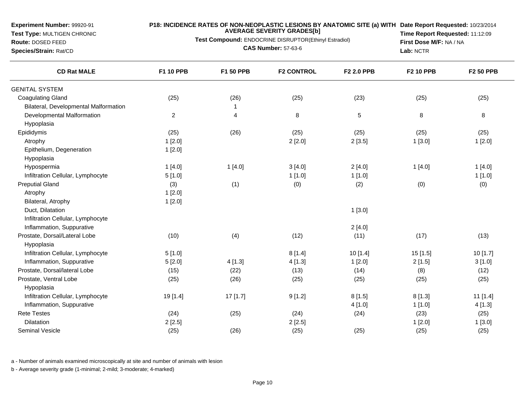**Test Type:** MULTIGEN CHRONIC

#### **P18: INCIDENCE RATES OF NON-NEOPLASTIC LESIONS BY ANATOMIC SITE (a) WITH AVERAGE SEVERITY GRADES[b] Date Report Requested:** 10/23/2014

**Test Compound:** ENDOCRINE DISRUPTOR(Ethinyl Estradiol)

**Route:** DOSED FEED**Species/Strain:** Rat/CD

**CAS Number:** 57-63-6

**Time Report Requested:** 11:12:09**First Dose M/F:** NA / NA**Lab:** NCTR

| <b>CD Rat MALE</b>                    | <b>F1 10 PPB</b> | <b>F1 50 PPB</b> | <b>F2 CONTROL</b> | F2 2.0 PPB | <b>F2 10 PPB</b> | <b>F2 50 PPB</b> |
|---------------------------------------|------------------|------------------|-------------------|------------|------------------|------------------|
| <b>GENITAL SYSTEM</b>                 |                  |                  |                   |            |                  |                  |
| <b>Coagulating Gland</b>              | (25)             | (26)             | (25)              | (23)       | (25)             | (25)             |
| Bilateral, Developmental Malformation |                  | -1               |                   |            |                  |                  |
| Developmental Malformation            | $\overline{c}$   | 4                | 8                 | $\sqrt{5}$ | 8                | $\bf 8$          |
| Hypoplasia                            |                  |                  |                   |            |                  |                  |
| Epididymis                            | (25)             | (26)             | (25)              | (25)       | (25)             | (25)             |
| Atrophy                               | 1[2.0]           |                  | 2[2.0]            | 2[3.5]     | 1[3.0]           | 1[2.0]           |
| Epithelium, Degeneration              | 1[2.0]           |                  |                   |            |                  |                  |
| Hypoplasia                            |                  |                  |                   |            |                  |                  |
| Hypospermia                           | 1[4.0]           | 1[4.0]           | 3[4.0]            | 2[4.0]     | 1[4.0]           | 1[4.0]           |
| Infiltration Cellular, Lymphocyte     | 5[1.0]           |                  | 1[1.0]            | 1[1.0]     |                  | 1[1.0]           |
| <b>Preputial Gland</b>                | (3)              | (1)              | (0)               | (2)        | (0)              | (0)              |
| Atrophy                               | 1[2.0]           |                  |                   |            |                  |                  |
| Bilateral, Atrophy                    | 1[2.0]           |                  |                   |            |                  |                  |
| Duct, Dilatation                      |                  |                  |                   | 1[3.0]     |                  |                  |
| Infiltration Cellular, Lymphocyte     |                  |                  |                   |            |                  |                  |
| Inflammation, Suppurative             |                  |                  |                   | 2[4.0]     |                  |                  |
| Prostate, Dorsal/Lateral Lobe         | (10)             | (4)              | (12)              | (11)       | (17)             | (13)             |
| Hypoplasia                            |                  |                  |                   |            |                  |                  |
| Infiltration Cellular, Lymphocyte     | 5[1.0]           |                  | 8[1.4]            | 10[1.4]    | 15 [1.5]         | 10 [1.7]         |
| Inflammation, Suppurative             | 5[2.0]           | 4[1.3]           | 4[1.3]            | 1[2.0]     | 2[1.5]           | 3[1.0]           |
| Prostate, Dorsal/lateral Lobe         | (15)             | (22)             | (13)              | (14)       | (8)              | (12)             |
| Prostate, Ventral Lobe                | (25)             | (26)             | (25)              | (25)       | (25)             | (25)             |
| Hypoplasia                            |                  |                  |                   |            |                  |                  |
| Infiltration Cellular, Lymphocyte     | 19 [1.4]         | 17 [1.7]         | 9[1.2]            | 8[1.5]     | 8[1.3]           | 11 [1.4]         |
| Inflammation, Suppurative             |                  |                  |                   | 4[1.0]     | 1[1.0]           | 4[1.3]           |
| <b>Rete Testes</b>                    | (24)             | (25)             | (24)              | (24)       | (23)             | (25)             |
| Dilatation                            | 2[2.5]           |                  | 2[2.5]            |            | 1[2.0]           | 1[3.0]           |
| <b>Seminal Vesicle</b>                | (25)             | (26)             | (25)              | (25)       | (25)             | (25)             |

a - Number of animals examined microscopically at site and number of animals with lesion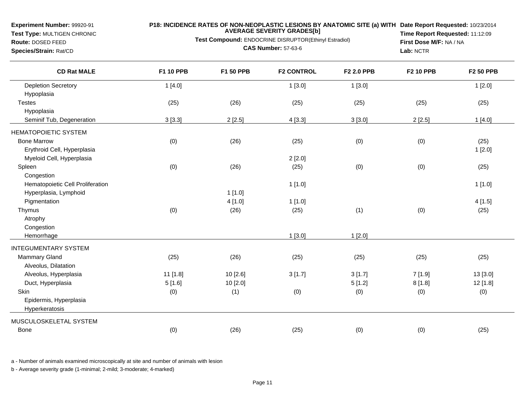**Test Type:** MULTIGEN CHRONIC

## **P18: INCIDENCE RATES OF NON-NEOPLASTIC LESIONS BY ANATOMIC SITE (a) WITH AVERAGE SEVERITY GRADES[b] Date Report Requested:** 10/23/2014

**Test Compound:** ENDOCRINE DISRUPTOR(Ethinyl Estradiol)

**Route:** DOSED FEED**Species/Strain:** Rat/CD

**CAS Number:** 57-63-6

**Time Report Requested:** 11:12:09**First Dose M/F:** NA / NA**Lab:** NCTR

| <b>CD Rat MALE</b>               | F1 10 PPB | F1 50 PPB | <b>F2 CONTROL</b> | F2 2.0 PPB | <b>F2 10 PPB</b> | <b>F2 50 PPB</b> |
|----------------------------------|-----------|-----------|-------------------|------------|------------------|------------------|
| <b>Depletion Secretory</b>       | 1[4.0]    |           | 1[3.0]            | 1[3.0]     |                  | 1[2.0]           |
| Hypoplasia                       |           |           |                   |            |                  |                  |
| <b>Testes</b>                    | (25)      | (26)      | (25)              | (25)       | (25)             | (25)             |
| Hypoplasia                       |           |           |                   |            |                  |                  |
| Seminif Tub, Degeneration        | 3[3.3]    | 2[2.5]    | 4[3.3]            | 3[3.0]     | 2[2.5]           | 1[4.0]           |
| <b>HEMATOPOIETIC SYSTEM</b>      |           |           |                   |            |                  |                  |
| <b>Bone Marrow</b>               | (0)       | (26)      | (25)              | (0)        | (0)              | (25)             |
| Erythroid Cell, Hyperplasia      |           |           |                   |            |                  | 1[2.0]           |
| Myeloid Cell, Hyperplasia        |           |           | 2[2.0]            |            |                  |                  |
| Spleen                           | (0)       | (26)      | (25)              | (0)        | (0)              | (25)             |
| Congestion                       |           |           |                   |            |                  |                  |
| Hematopoietic Cell Proliferation |           |           | 1[1.0]            |            |                  | 1[1.0]           |
| Hyperplasia, Lymphoid            |           | 1[1.0]    |                   |            |                  |                  |
| Pigmentation                     |           | 4[1.0]    | 1[1.0]            |            |                  | 4[1.5]           |
| Thymus                           | (0)       | (26)      | (25)              | (1)        | (0)              | (25)             |
| Atrophy                          |           |           |                   |            |                  |                  |
| Congestion                       |           |           |                   |            |                  |                  |
| Hemorrhage                       |           |           | 1[3.0]            | 1[2.0]     |                  |                  |
| <b>INTEGUMENTARY SYSTEM</b>      |           |           |                   |            |                  |                  |
| Mammary Gland                    | (25)      | (26)      | (25)              | (25)       | (25)             | (25)             |
| Alveolus, Dilatation             |           |           |                   |            |                  |                  |
| Alveolus, Hyperplasia            | 11 [1.8]  | 10 [2.6]  | 3[1.7]            | 3[1.7]     | 7[1.9]           | 13 [3.0]         |
| Duct, Hyperplasia                | 5[1.6]    | 10 [2.0]  |                   | 5[1.2]     | 8[1.8]           | 12 [1.8]         |
| Skin                             | (0)       | (1)       | (0)               | (0)        | (0)              | (0)              |
| Epidermis, Hyperplasia           |           |           |                   |            |                  |                  |
| Hyperkeratosis                   |           |           |                   |            |                  |                  |
| MUSCULOSKELETAL SYSTEM           |           |           |                   |            |                  |                  |
| Bone                             | (0)       | (26)      | (25)              | (0)        | (0)              | (25)             |

a - Number of animals examined microscopically at site and number of animals with lesion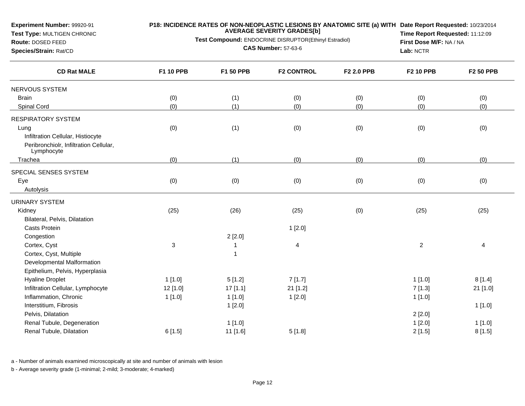**Test Type:** MULTIGEN CHRONIC

#### **P18: INCIDENCE RATES OF NON-NEOPLASTIC LESIONS BY ANATOMIC SITE (a) WITH AVERAGE SEVERITY GRADES[b] Date Report Requested:** 10/23/2014

**Test Compound:** ENDOCRINE DISRUPTOR(Ethinyl Estradiol)

**Route:** DOSED FEED**Species/Strain:** Rat/CD

**CAS Number:** 57-63-6

**Time Report Requested:** 11:12:09**First Dose M/F:** NA / NA**Lab:** NCTR

| <b>CD Rat MALE</b>                                   | F1 10 PPB                 | F1 50 PPB | <b>F2 CONTROL</b>        | F2 2.0 PPB | <b>F2 10 PPB</b> | <b>F2 50 PPB</b>        |
|------------------------------------------------------|---------------------------|-----------|--------------------------|------------|------------------|-------------------------|
| NERVOUS SYSTEM                                       |                           |           |                          |            |                  |                         |
| <b>Brain</b>                                         | (0)                       | (1)       | (0)                      | (0)        | (0)              | (0)                     |
| Spinal Cord                                          | (0)                       | (1)       | (0)                      | (0)        | (0)              | (0)                     |
| <b>RESPIRATORY SYSTEM</b>                            |                           |           |                          |            |                  |                         |
| Lung                                                 | (0)                       | (1)       | (0)                      | (0)        | (0)              | (0)                     |
| Infiltration Cellular, Histiocyte                    |                           |           |                          |            |                  |                         |
| Peribronchiolr, Infiltration Cellular,<br>Lymphocyte |                           |           |                          |            |                  |                         |
| Trachea                                              | (0)                       | (1)       | (0)                      | (0)        | (0)              | (0)                     |
| SPECIAL SENSES SYSTEM                                |                           |           |                          |            |                  |                         |
| Eye                                                  | (0)                       | (0)       | (0)                      | (0)        | (0)              | (0)                     |
| Autolysis                                            |                           |           |                          |            |                  |                         |
| <b>URINARY SYSTEM</b>                                |                           |           |                          |            |                  |                         |
| Kidney                                               | (25)                      | (26)      | (25)                     | (0)        | (25)             | (25)                    |
| Bilateral, Pelvis, Dilatation                        |                           |           |                          |            |                  |                         |
| <b>Casts Protein</b>                                 |                           |           | 1[2.0]                   |            |                  |                         |
| Congestion                                           |                           | 2[2.0]    |                          |            |                  |                         |
| Cortex, Cyst                                         | $\ensuremath{\mathsf{3}}$ |           | $\overline{\mathcal{A}}$ |            | $\overline{c}$   | $\overline{\mathbf{4}}$ |
| Cortex, Cyst, Multiple                               |                           | 1         |                          |            |                  |                         |
| Developmental Malformation                           |                           |           |                          |            |                  |                         |
| Epithelium, Pelvis, Hyperplasia                      |                           |           |                          |            |                  |                         |
| <b>Hyaline Droplet</b>                               | 1[1.0]                    | 5[1.2]    | 7[1.7]                   |            | 1[1.0]           | 8[1.4]                  |
| Infiltration Cellular, Lymphocyte                    | 12 [1.0]                  | 17 [1.1]  | 21 [1.2]                 |            | 7[1.3]           | 21 [1.0]                |
| Inflammation, Chronic                                | 1[1.0]                    | 1[1.0]    | 1[2.0]                   |            | 1[1.0]           |                         |
| Interstitium, Fibrosis                               |                           | 1[2.0]    |                          |            |                  | 1[1.0]                  |
| Pelvis, Dilatation                                   |                           |           |                          |            | 2[2.0]           |                         |
| Renal Tubule, Degeneration                           |                           | 1[1.0]    |                          |            | 1[2.0]           | 1[1.0]                  |
| Renal Tubule, Dilatation                             | 6[1.5]                    | 11 [1.6]  | 5[1.8]                   |            | 2[1.5]           | 8[1.5]                  |

a - Number of animals examined microscopically at site and number of animals with lesion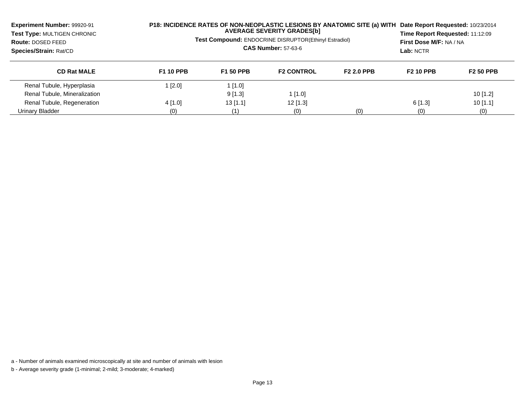| Experiment Number: 99920-91<br>Test Type: MULTIGEN CHRONIC<br>Route: DOSED FEED<br>Species/Strain: Rat/CD | P18: INCIDENCE RATES OF NON-NEOPLASTIC LESIONS BY ANATOMIC SITE (a) WITH<br><b>AVERAGE SEVERITY GRADES[b]</b><br>Test Compound: ENDOCRINE DISRUPTOR(Ethinyl Estradiol)<br><b>CAS Number: 57-63-6</b> |                  |                   | Date Report Requested: 10/23/2014<br>Time Report Requested: 11:12:09<br>First Dose M/F: NA / NA<br>Lab: NCTR |                  |                  |
|-----------------------------------------------------------------------------------------------------------|------------------------------------------------------------------------------------------------------------------------------------------------------------------------------------------------------|------------------|-------------------|--------------------------------------------------------------------------------------------------------------|------------------|------------------|
| <b>CD Rat MALE</b>                                                                                        | <b>F1 10 PPB</b>                                                                                                                                                                                     | <b>F1 50 PPB</b> | <b>F2 CONTROL</b> | <b>F2 2.0 PPB</b>                                                                                            | <b>F2 10 PPB</b> | <b>F2 50 PPB</b> |
| Renal Tubule, Hyperplasia                                                                                 | $1$ [2.0]                                                                                                                                                                                            | 1[1.0]           |                   |                                                                                                              |                  |                  |
| Renal Tubule, Mineralization                                                                              |                                                                                                                                                                                                      | 9[1.3]           | 1[1.0]            |                                                                                                              |                  | $10$ [1.2]       |
| Renal Tubule, Regeneration                                                                                | $4$ [1.0]                                                                                                                                                                                            | $13$ [1.1]       | $12$ [1.3]        |                                                                                                              | $6$ [1.3]        | 10[1.1]          |
| Urinary Bladder                                                                                           | (0)                                                                                                                                                                                                  | (1)              | (0)               | (0)                                                                                                          | (0)              | (0)              |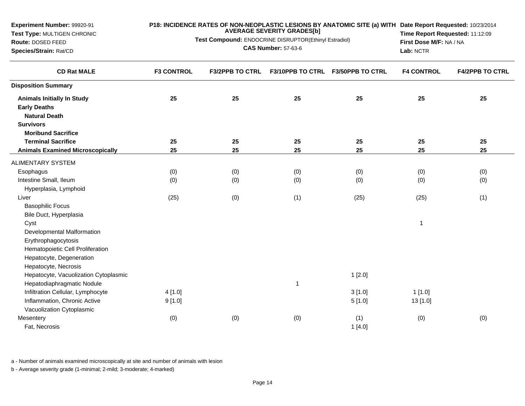| Experiment Number: 99920-91             | P18: INCIDENCE RATES OF NON-NEOPLASTIC LESIONS BY ANATOMIC SITE (a) WITH Date Report Requested: 10/23/2014<br><b>AVERAGE SEVERITY GRADES[b]</b> |                                                       |                            |                                   |                                 |                        |
|-----------------------------------------|-------------------------------------------------------------------------------------------------------------------------------------------------|-------------------------------------------------------|----------------------------|-----------------------------------|---------------------------------|------------------------|
| Test Type: MULTIGEN CHRONIC             |                                                                                                                                                 | Test Compound: ENDOCRINE DISRUPTOR(Ethinyl Estradiol) |                            |                                   | Time Report Requested: 11:12:09 |                        |
| Route: DOSED FEED                       |                                                                                                                                                 |                                                       | <b>CAS Number: 57-63-6</b> |                                   | First Dose M/F: NA / NA         |                        |
| Species/Strain: Rat/CD                  |                                                                                                                                                 |                                                       |                            |                                   | Lab: NCTR                       |                        |
| <b>CD Rat MALE</b>                      | <b>F3 CONTROL</b>                                                                                                                               | <b>F3/2PPB TO CTRL</b>                                |                            | F3/10PPB TO CTRL F3/50PPB TO CTRL | <b>F4 CONTROL</b>               | <b>F4/2PPB TO CTRL</b> |
| <b>Disposition Summary</b>              |                                                                                                                                                 |                                                       |                            |                                   |                                 |                        |
| <b>Animals Initially In Study</b>       | 25                                                                                                                                              | 25                                                    | 25                         | 25                                | 25                              | 25                     |
| <b>Early Deaths</b>                     |                                                                                                                                                 |                                                       |                            |                                   |                                 |                        |
| <b>Natural Death</b>                    |                                                                                                                                                 |                                                       |                            |                                   |                                 |                        |
| <b>Survivors</b>                        |                                                                                                                                                 |                                                       |                            |                                   |                                 |                        |
| <b>Moribund Sacrifice</b>               |                                                                                                                                                 |                                                       |                            |                                   |                                 |                        |
| <b>Terminal Sacrifice</b>               | 25                                                                                                                                              | 25                                                    | 25                         | 25                                | 25                              | 25                     |
| <b>Animals Examined Microscopically</b> | 25                                                                                                                                              | 25                                                    | 25                         | 25                                | 25                              | 25                     |
| ALIMENTARY SYSTEM                       |                                                                                                                                                 |                                                       |                            |                                   |                                 |                        |
| Esophagus                               | (0)                                                                                                                                             | (0)                                                   | (0)                        | (0)                               | (0)                             | (0)                    |
| Intestine Small, Ileum                  | (0)                                                                                                                                             | (0)                                                   | (0)                        | (0)                               | (0)                             | (0)                    |
| Hyperplasia, Lymphoid                   |                                                                                                                                                 |                                                       |                            |                                   |                                 |                        |
| Liver                                   | (25)                                                                                                                                            | (0)                                                   | (1)                        | (25)                              | (25)                            | (1)                    |
| <b>Basophilic Focus</b>                 |                                                                                                                                                 |                                                       |                            |                                   |                                 |                        |
| Bile Duct, Hyperplasia                  |                                                                                                                                                 |                                                       |                            |                                   |                                 |                        |
| Cyst                                    |                                                                                                                                                 |                                                       |                            |                                   | $\mathbf{1}$                    |                        |
| Developmental Malformation              |                                                                                                                                                 |                                                       |                            |                                   |                                 |                        |
| Erythrophagocytosis                     |                                                                                                                                                 |                                                       |                            |                                   |                                 |                        |
| Hematopoietic Cell Proliferation        |                                                                                                                                                 |                                                       |                            |                                   |                                 |                        |
| Hepatocyte, Degeneration                |                                                                                                                                                 |                                                       |                            |                                   |                                 |                        |
| Hepatocyte, Necrosis                    |                                                                                                                                                 |                                                       |                            |                                   |                                 |                        |
| Hepatocyte, Vacuolization Cytoplasmic   |                                                                                                                                                 |                                                       |                            | 1[2.0]                            |                                 |                        |
| Hepatodiaphragmatic Nodule              |                                                                                                                                                 |                                                       | $\overline{1}$             |                                   |                                 |                        |
| Infiltration Cellular, Lymphocyte       | 4[1.0]                                                                                                                                          |                                                       |                            | 3[1.0]                            | 1[1.0]                          |                        |
| Inflammation, Chronic Active            | 9[1.0]                                                                                                                                          |                                                       |                            | 5[1.0]                            | 13 [1.0]                        |                        |
| Vacuolization Cytoplasmic               |                                                                                                                                                 |                                                       |                            |                                   |                                 |                        |
| Mesentery                               | (0)                                                                                                                                             | (0)                                                   | (0)                        | (1)                               | (0)                             | (0)                    |
| Fat, Necrosis                           |                                                                                                                                                 |                                                       |                            | 1[4.0]                            |                                 |                        |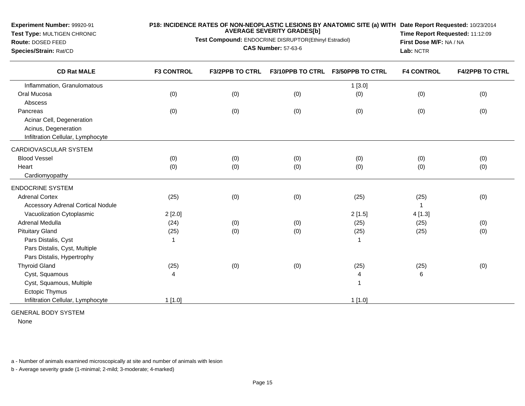**Experiment Number:** 99920-91 **Test Type:** MULTIGEN CHRONIC**Route:** DOSED FEED **Species/Strain:** Rat/CD**P18: INCIDENCE RATES OF NON-NEOPLASTIC LESIONS BY ANATOMIC SITE (a) WITH AVERAGE SEVERITY GRADES[b] Test Compound:** ENDOCRINE DISRUPTOR(Ethinyl Estradiol)**CAS Number:** 57-63-6**Date Report Requested:** 10/23/2014 **Time Report Requested:** 11:12:09**First Dose M/F:** NA / NA**Lab:** NCTR

| <b>F3 CONTROL</b> | <b>F3/2PPB TO CTRL</b> |     | <b>F3/50PPB TO CTRL</b> | <b>F4 CONTROL</b>       | <b>F4/2PPB TO CTRL</b> |
|-------------------|------------------------|-----|-------------------------|-------------------------|------------------------|
|                   |                        |     | 1[3.0]                  |                         |                        |
| (0)               | (0)                    | (0) | (0)                     | (0)                     | (0)                    |
|                   |                        |     |                         |                         |                        |
| (0)               | (0)                    | (0) | (0)                     | (0)                     | (0)                    |
|                   |                        |     |                         |                         |                        |
|                   |                        |     |                         |                         |                        |
|                   |                        |     |                         |                         |                        |
|                   |                        |     |                         |                         |                        |
| (0)               | (0)                    | (0) | (0)                     | (0)                     | (0)                    |
| (0)               | (0)                    | (0) | (0)                     | (0)                     | (0)                    |
|                   |                        |     |                         |                         |                        |
|                   |                        |     |                         |                         |                        |
| (25)              | (0)                    | (0) | (25)                    | (25)                    | (0)                    |
|                   |                        |     |                         |                         |                        |
| 2[2.0]            |                        |     | 2[1.5]                  | 4 [1.3]                 |                        |
| (24)              | (0)                    | (0) | (25)                    | (25)                    | (0)                    |
| (25)              | (0)                    | (0) | (25)                    | (25)                    | (0)                    |
| -1                |                        |     |                         |                         |                        |
|                   |                        |     |                         |                         |                        |
|                   |                        |     |                         |                         |                        |
| (25)              | (0)                    | (0) | (25)                    | (25)                    | (0)                    |
| 4                 |                        |     | 4                       | 6                       |                        |
|                   |                        |     | $\overline{1}$          |                         |                        |
|                   |                        |     |                         |                         |                        |
| $1$ [1.0]         |                        |     | $1$ [1.0]               |                         |                        |
|                   |                        |     |                         | <b>F3/10PPB TO CTRL</b> |                        |

GENERAL BODY SYSTEM

None

a - Number of animals examined microscopically at site and number of animals with lesion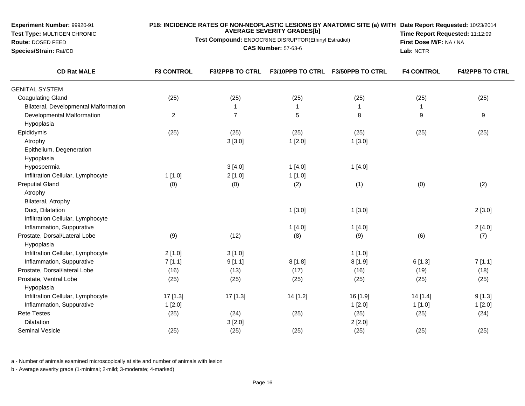**Test Type:** MULTIGEN CHRONIC**Route:** DOSED FEED **Species/Strain:** Rat/CD**Test Compound:** ENDOCRINE DISRUPTOR(Ethinyl Estradiol)**CAS Number:** 57-63-6**Time Report Requested:** 11:12:09**First Dose M/F:** NA / NA**Lab:** NCTR**CD Rat MALE F3 CONTROL F3/2PPB TO CTRL F3/10PPB TO CTRL F3/50PPB TO CTRL F4 CONTROL F4/2PPB TO CTRL** GENITAL SYSTEM Coagulating Gland (25) (25) (25) (25) (25) (25) Bilateral, Developmental Malformation <sup>1</sup> <sup>1</sup> <sup>1</sup> <sup>1</sup> Developmental Malformationn 2 7 5 8 9 9 HypoplasiaEpididymis (25) (25) (25) (25) (25) (25) Atrophyy 3 [3.0] 1 [2.0] 1 [3.0] Epithelium, DegenerationHypoplasia Hypospermiaa  $3[4.0]$  1  $[4.0]$  1  $[4.0]$ Infiltration Cellular, Lymphocytee 1 [1.0] 2 [1.0] 1 [1.0] Preputial Glandd (0) (0) (2) (1) (0) (2) (1) (0) (2) Atrophy Bilateral, AtrophyDuct, Dilatationn  $1 [3.0]$   $1 [3.0]$   $2 [3.0]$ Infiltration Cellular, LymphocyteInflammation, Suppurativee  $1 [4.0]$   $1 [4.0]$   $2 [4.0]$ Prostate, Dorsal/Lateral Lobee (9) (12) (8) (8) (9) (6) (7) Hypoplasia Infiltration Cellular, Lymphocytee  $2 [1.0]$  3 [1.0] 1 [1.0] Inflammation, Suppurative 7 [1.1] 9 [1.1] 8 [1.8] 8 [1.9] 6 [1.3] 7 [1.1] Prostate, Dorsal/lateral Lobee (16) (19) (13) (17) (16) (16) (19) (18) Prostate, Ventral Lobe (25) (25) (25) (25) (25) (25) Hypoplasia Infiltration Cellular, Lymphocyte 17 [1.3] 17 [1.3] 14 [1.2] 16 [1.9] 14 [1.4] 9 [1.3] Inflammation, Suppurativee 1 [2.0] 1 [2.0] 1 [2.0] 1 [2.0] 1 [2.0] 1 [2.0] 1 [1.0] 1 [2.0] Rete Testess (25) (25) (24) (25) (25) (25) (25) (25) (25) (25) (24) Dilatationn  $3\,[2.0]$  2 [2.0]

**AVERAGE SEVERITY GRADES[b]**

**P18: INCIDENCE RATES OF NON-NEOPLASTIC LESIONS BY ANATOMIC SITE (a) WITHDate Report Requested:** 10/23/2014

a - Number of animals examined microscopically at site and number of animals with lesion

b - Average severity grade (1-minimal; 2-mild; 3-moderate; 4-marked)

Seminal Vesicle

**Experiment Number:** 99920-91

(25) (25) (25) (25) (25) (25)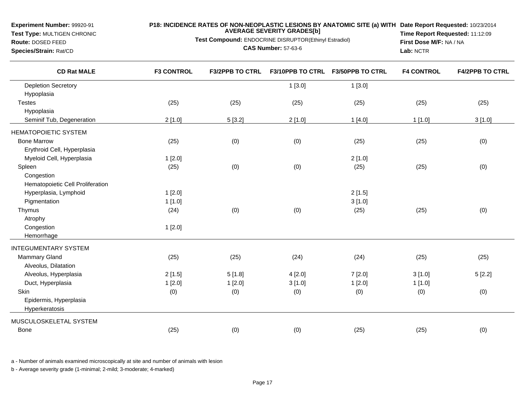# **Test Type:** MULTIGEN CHRONIC

## **Route:** DOSED FEED

**Species/Strain:** Rat/CD

**P18: INCIDENCE RATES OF NON-NEOPLASTIC LESIONS BY ANATOMIC SITE (a) WITH AVERAGE SEVERITY GRADES[b] Date Report Requested:** 10/23/2014

**Test Compound:** ENDOCRINE DISRUPTOR(Ethinyl Estradiol)

**CAS Number:** 57-63-6

**Time Report Requested:** 11:12:09**First Dose M/F:** NA / NA**Lab:** NCTR

| <b>CD Rat MALE</b>               | <b>F3 CONTROL</b> | <b>F3/2PPB TO CTRL</b> | F3/10PPB TO CTRL | <b>F3/50PPB TO CTRL</b> | <b>F4 CONTROL</b> | <b>F4/2PPB TO CTRL</b> |
|----------------------------------|-------------------|------------------------|------------------|-------------------------|-------------------|------------------------|
| <b>Depletion Secretory</b>       |                   |                        | 1[3.0]           | 1[3.0]                  |                   |                        |
| Hypoplasia                       |                   |                        |                  |                         |                   |                        |
| <b>Testes</b>                    | (25)              | (25)                   | (25)             | (25)                    | (25)              | (25)                   |
| Hypoplasia                       |                   |                        |                  |                         |                   |                        |
| Seminif Tub, Degeneration        | 2[1.0]            | 5[3.2]                 | 2[1.0]           | 1[4.0]                  | 1[1.0]            | 3[1.0]                 |
| <b>HEMATOPOIETIC SYSTEM</b>      |                   |                        |                  |                         |                   |                        |
| <b>Bone Marrow</b>               | (25)              | (0)                    | (0)              | (25)                    | (25)              | (0)                    |
| Erythroid Cell, Hyperplasia      |                   |                        |                  |                         |                   |                        |
| Myeloid Cell, Hyperplasia        | 1[2.0]            |                        |                  | 2[1.0]                  |                   |                        |
| Spleen                           | (25)              | (0)                    | (0)              | (25)                    | (25)              | (0)                    |
| Congestion                       |                   |                        |                  |                         |                   |                        |
| Hematopoietic Cell Proliferation |                   |                        |                  |                         |                   |                        |
| Hyperplasia, Lymphoid            | 1[2.0]            |                        |                  | 2[1.5]                  |                   |                        |
| Pigmentation                     | 1[1.0]            |                        |                  | 3[1.0]                  |                   |                        |
| Thymus                           | (24)              | (0)                    | (0)              | (25)                    | (25)              | (0)                    |
| Atrophy                          |                   |                        |                  |                         |                   |                        |
| Congestion                       | 1[2.0]            |                        |                  |                         |                   |                        |
| Hemorrhage                       |                   |                        |                  |                         |                   |                        |
| <b>INTEGUMENTARY SYSTEM</b>      |                   |                        |                  |                         |                   |                        |
| <b>Mammary Gland</b>             | (25)              | (25)                   | (24)             | (24)                    | (25)              | (25)                   |
| Alveolus, Dilatation             |                   |                        |                  |                         |                   |                        |
| Alveolus, Hyperplasia            | 2[1.5]            | 5[1.8]                 | 4[2.0]           | 7[2.0]                  | 3[1.0]            | 5[2.2]                 |
| Duct, Hyperplasia                | 1[2.0]            | 1[2.0]                 | 3[1.0]           | 1[2.0]                  | 1[1.0]            |                        |
| Skin                             | (0)               | (0)                    | (0)              | (0)                     | (0)               | (0)                    |
| Epidermis, Hyperplasia           |                   |                        |                  |                         |                   |                        |
| Hyperkeratosis                   |                   |                        |                  |                         |                   |                        |
| MUSCULOSKELETAL SYSTEM           |                   |                        |                  |                         |                   |                        |
| <b>Bone</b>                      | (25)              | (0)                    | (0)              | (25)                    | (25)              | (0)                    |
|                                  |                   |                        |                  |                         |                   |                        |

a - Number of animals examined microscopically at site and number of animals with lesion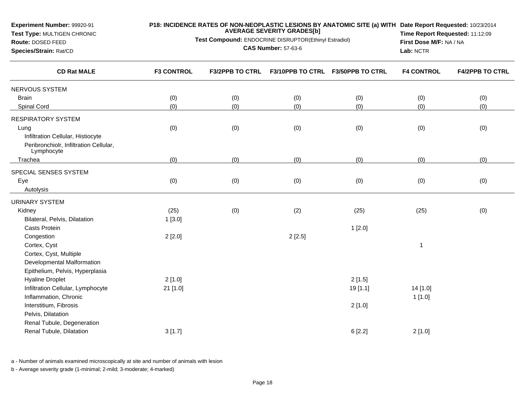| Experiment Number: 99920-91<br>Test Type: MULTIGEN CHRONIC<br>Route: DOSED FEED<br>Species/Strain: Rat/CD | P18: INCIDENCE RATES OF NON-NEOPLASTIC LESIONS BY ANATOMIC SITE (a) WITH Date Report Requested: 10/23/2014<br><b>AVERAGE SEVERITY GRADES[b]</b><br>Test Compound: ENDOCRINE DISRUPTOR(Ethinyl Estradiol)<br><b>CAS Number: 57-63-6</b> |                        |                         |                         | Time Report Requested: 11:12:09<br>First Dose M/F: NA / NA<br>Lab: NCTR |                        |
|-----------------------------------------------------------------------------------------------------------|----------------------------------------------------------------------------------------------------------------------------------------------------------------------------------------------------------------------------------------|------------------------|-------------------------|-------------------------|-------------------------------------------------------------------------|------------------------|
| <b>CD Rat MALE</b>                                                                                        | <b>F3 CONTROL</b>                                                                                                                                                                                                                      | <b>F3/2PPB TO CTRL</b> | <b>F3/10PPB TO CTRL</b> | <b>F3/50PPB TO CTRL</b> | <b>F4 CONTROL</b>                                                       | <b>F4/2PPB TO CTRL</b> |
| NERVOUS SYSTEM                                                                                            |                                                                                                                                                                                                                                        |                        |                         |                         |                                                                         |                        |
| <b>Brain</b>                                                                                              | (0)                                                                                                                                                                                                                                    | (0)                    | (0)                     | (0)                     | (0)                                                                     | (0)                    |
| Spinal Cord                                                                                               | (0)                                                                                                                                                                                                                                    | (0)                    | (0)                     | (0)                     | (0)                                                                     | (0)                    |
| <b>RESPIRATORY SYSTEM</b>                                                                                 |                                                                                                                                                                                                                                        |                        |                         |                         |                                                                         |                        |
| Lung<br>Infiltration Cellular, Histiocyte<br>Peribronchiolr, Infiltration Cellular,<br>Lymphocyte         | (0)                                                                                                                                                                                                                                    | (0)                    | (0)                     | (0)                     | (0)                                                                     | (0)                    |
| Trachea                                                                                                   | (0)                                                                                                                                                                                                                                    | (0)                    | (0)                     | (0)                     | (0)                                                                     | (0)                    |
| SPECIAL SENSES SYSTEM                                                                                     |                                                                                                                                                                                                                                        |                        |                         |                         |                                                                         |                        |
| Eye                                                                                                       | (0)                                                                                                                                                                                                                                    | (0)                    | (0)                     | (0)                     | (0)                                                                     | (0)                    |
| Autolysis                                                                                                 |                                                                                                                                                                                                                                        |                        |                         |                         |                                                                         |                        |
| <b>URINARY SYSTEM</b>                                                                                     |                                                                                                                                                                                                                                        |                        |                         |                         |                                                                         |                        |
| Kidney                                                                                                    | (25)                                                                                                                                                                                                                                   | (0)                    | (2)                     | (25)                    | (25)                                                                    | (0)                    |
| Bilateral, Pelvis, Dilatation                                                                             | 1[3.0]                                                                                                                                                                                                                                 |                        |                         |                         |                                                                         |                        |
| <b>Casts Protein</b>                                                                                      |                                                                                                                                                                                                                                        |                        |                         | 1[2.0]                  |                                                                         |                        |
| Congestion<br>Cortex, Cyst<br>Cortex, Cyst, Multiple                                                      | 2[2.0]                                                                                                                                                                                                                                 |                        | 2[2.5]                  |                         | $\mathbf{1}$                                                            |                        |
| Developmental Malformation<br>Epithelium, Pelvis, Hyperplasia                                             |                                                                                                                                                                                                                                        |                        |                         |                         |                                                                         |                        |
| <b>Hyaline Droplet</b>                                                                                    | 2[1.0]                                                                                                                                                                                                                                 |                        |                         | 2[1.5]                  |                                                                         |                        |
| Infiltration Cellular, Lymphocyte                                                                         | $21$ [1.0]                                                                                                                                                                                                                             |                        |                         | 19 [1.1]                | 14 [1.0]                                                                |                        |
| Inflammation, Chronic                                                                                     |                                                                                                                                                                                                                                        |                        |                         |                         | 1[1.0]                                                                  |                        |
| Interstitium, Fibrosis                                                                                    |                                                                                                                                                                                                                                        |                        |                         | 2[1.0]                  |                                                                         |                        |
| Pelvis, Dilatation                                                                                        |                                                                                                                                                                                                                                        |                        |                         |                         |                                                                         |                        |
| Renal Tubule, Degeneration<br>Renal Tubule, Dilatation                                                    | 3[1.7]                                                                                                                                                                                                                                 |                        |                         | 6[2.2]                  | 2[1.0]                                                                  |                        |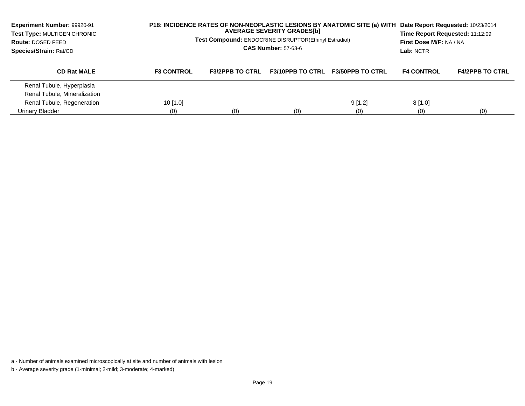| <b>Experiment Number: 99920-91</b><br>Test Type: MULTIGEN CHRONIC<br>Route: DOSED FEED<br>Species/Strain: Rat/CD | P18: INCIDENCE RATES OF NON-NEOPLASTIC LESIONS BY ANATOMIC SITE (a) WITH<br><b>AVERAGE SEVERITY GRADES[b]</b><br><b>Test Compound: ENDOCRINE DISRUPTOR(Ethinyl Estradiol)</b><br><b>CAS Number: 57-63-6</b> |                        |                         |                         | Date Report Requested: 10/23/2014<br>Time Report Requested: 11:12:09<br>First Dose M/F: NA / NA<br>Lab: NCTR |                        |
|------------------------------------------------------------------------------------------------------------------|-------------------------------------------------------------------------------------------------------------------------------------------------------------------------------------------------------------|------------------------|-------------------------|-------------------------|--------------------------------------------------------------------------------------------------------------|------------------------|
| <b>CD Rat MALE</b>                                                                                               | <b>F3 CONTROL</b>                                                                                                                                                                                           | <b>F3/2PPB TO CTRL</b> | <b>F3/10PPB TO CTRL</b> | <b>F3/50PPB TO CTRL</b> | <b>F4 CONTROL</b>                                                                                            | <b>F4/2PPB TO CTRL</b> |
| Renal Tubule, Hyperplasia                                                                                        |                                                                                                                                                                                                             |                        |                         |                         |                                                                                                              |                        |
| Renal Tubule, Mineralization                                                                                     |                                                                                                                                                                                                             |                        |                         |                         |                                                                                                              |                        |
| Renal Tubule, Regeneration                                                                                       | 10 $[1.0]$                                                                                                                                                                                                  |                        |                         | 9[1.2]                  | 8[1.0]                                                                                                       |                        |
| Urinary Bladder                                                                                                  | (0)                                                                                                                                                                                                         | (0)                    | (0)                     | (0)                     | (0)                                                                                                          | (0)                    |

a - Number of animals examined microscopically at site and number of animals with lesion

b - Average severity grade (1-minimal; 2-mild; 3-moderate; 4-marked)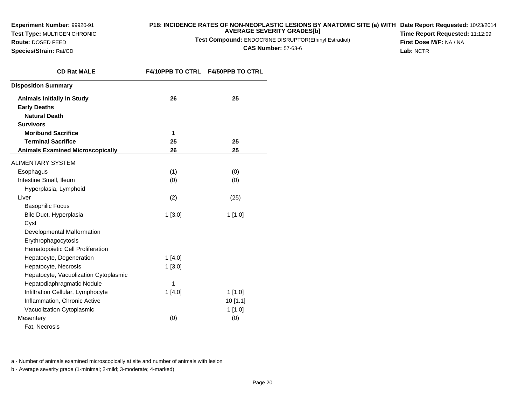**Test Type:** MULTIGEN CHRONIC

**Route:** DOSED FEED**Species/Strain:** Rat/CD

## **P18: INCIDENCE RATES OF NON-NEOPLASTIC LESIONS BY ANATOMIC SITE (a) WITH AVERAGE SEVERITY GRADES[b] Date Report Requested:** 10/23/2014

**Test Compound:** ENDOCRINE DISRUPTOR(Ethinyl Estradiol)

**CAS Number:** 57-63-6

**Time Report Requested:** 11:12:09**First Dose M/F:** NA / NA**Lab:** NCTR

| <b>CD Rat MALE</b>                      |           | F4/10PPB TO CTRL F4/50PPB TO CTRL |
|-----------------------------------------|-----------|-----------------------------------|
| <b>Disposition Summary</b>              |           |                                   |
| <b>Animals Initially In Study</b>       | 26        | 25                                |
| <b>Early Deaths</b>                     |           |                                   |
| <b>Natural Death</b>                    |           |                                   |
| <b>Survivors</b>                        |           |                                   |
| <b>Moribund Sacrifice</b>               | 1         |                                   |
| <b>Terminal Sacrifice</b>               | 25        | 25                                |
| <b>Animals Examined Microscopically</b> | 26        | 25                                |
| <b>ALIMENTARY SYSTEM</b>                |           |                                   |
| Esophagus                               | (1)       | (0)                               |
| Intestine Small, Ileum                  | (0)       | (0)                               |
| Hyperplasia, Lymphoid                   |           |                                   |
| Liver                                   | (2)       | (25)                              |
| <b>Basophilic Focus</b>                 |           |                                   |
| Bile Duct, Hyperplasia                  | 1[3.0]    | 1[1.0]                            |
| Cyst                                    |           |                                   |
| Developmental Malformation              |           |                                   |
| Erythrophagocytosis                     |           |                                   |
| Hematopoietic Cell Proliferation        |           |                                   |
| Hepatocyte, Degeneration                | 1[4.0]    |                                   |
| Hepatocyte, Necrosis                    | $1$ [3.0] |                                   |
| Hepatocyte, Vacuolization Cytoplasmic   |           |                                   |
| Hepatodiaphragmatic Nodule              | 1         |                                   |
| Infiltration Cellular, Lymphocyte       | 1[4.0]    | $1$ [1.0]                         |
| Inflammation, Chronic Active            |           | 10[1.1]                           |
| Vacuolization Cytoplasmic               |           | 1[1.0]                            |
| Mesentery                               | (0)       | (0)                               |
| Fat. Necrosis                           |           |                                   |

a - Number of animals examined microscopically at site and number of animals with lesion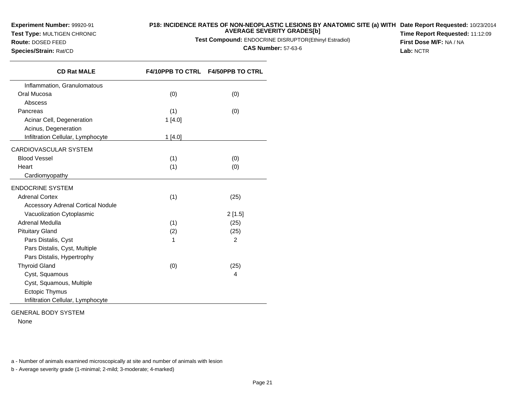**Test Type:** MULTIGEN CHRONIC**Route:** DOSED FEED

**Species/Strain:** Rat/CD

## **P18: INCIDENCE RATES OF NON-NEOPLASTIC LESIONS BY ANATOMIC SITE (a) WITH AVERAGE SEVERITY GRADES[b] Date Report Requested:** 10/23/2014

**Test Compound:** ENDOCRINE DISRUPTOR(Ethinyl Estradiol)

**CAS Number:** 57-63-6

**Time Report Requested:** 11:12:09**First Dose M/F:** NA / NA**Lab:** NCTR

| <b>CD Rat MALE</b>                       |         | F4/10PPB TO CTRL F4/50PPB TO CTRL |
|------------------------------------------|---------|-----------------------------------|
| Inflammation, Granulomatous              |         |                                   |
| Oral Mucosa                              | (0)     | (0)                               |
| Abscess                                  |         |                                   |
| Pancreas                                 | (1)     | (0)                               |
| Acinar Cell, Degeneration                | 1[4.0]  |                                   |
| Acinus, Degeneration                     |         |                                   |
| Infiltration Cellular, Lymphocyte        | 1 [4.0] |                                   |
| CARDIOVASCULAR SYSTEM                    |         |                                   |
| <b>Blood Vessel</b>                      | (1)     | (0)                               |
| Heart                                    | (1)     | (0)                               |
| Cardiomyopathy                           |         |                                   |
| ENDOCRINE SYSTEM                         |         |                                   |
| <b>Adrenal Cortex</b>                    | (1)     | (25)                              |
| <b>Accessory Adrenal Cortical Nodule</b> |         |                                   |
| Vacuolization Cytoplasmic                |         | $2$ [1.5]                         |
| Adrenal Medulla                          | (1)     | (25)                              |
| <b>Pituitary Gland</b>                   | (2)     | (25)                              |
| Pars Distalis, Cyst                      | 1       | $\overline{2}$                    |
| Pars Distalis, Cyst, Multiple            |         |                                   |
| Pars Distalis, Hypertrophy               |         |                                   |
| <b>Thyroid Gland</b>                     | (0)     | (25)                              |
| Cyst, Squamous                           |         | 4                                 |
| Cyst, Squamous, Multiple                 |         |                                   |
| Ectopic Thymus                           |         |                                   |
| Infiltration Cellular, Lymphocyte        |         |                                   |

GENERAL BODY SYSTEM

None

a - Number of animals examined microscopically at site and number of animals with lesion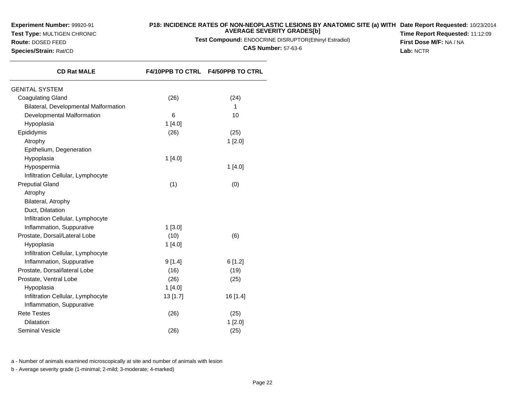**Test Type:** MULTIGEN CHRONIC

**Route:** DOSED FEED**Species/Strain:** Rat/CD

## **P18: INCIDENCE RATES OF NON-NEOPLASTIC LESIONS BY ANATOMIC SITE (a) WITHDate Report Requested:** 10/23/2014**AVERAGE SEVERITY GRADES[b]**

**Test Compound:** ENDOCRINE DISRUPTOR(Ethinyl Estradiol)

**CAS Number:** 57-63-6

**F4/10PPB TO CTRL F4/50PPB TO CTRL**

**Time Report Requested:** 11:12:09**First Dose M/F:** NA / NA**Lab:** NCTR

**CD Rat MALE**GENITAL SYSTEMCoagulating Gland

| (26)      | (24)     |
|-----------|----------|
|           | 1        |
| 6         | 10       |
| 1[4.0]    |          |
| (26)      | (25)     |
|           | 1[2.0]   |
|           |          |
| 1[4.0]    |          |
|           | 1[4.0]   |
|           |          |
| (1)       | (0)      |
|           |          |
|           |          |
|           |          |
|           |          |
| $1$ [3.0] |          |
| (10)      | (6)      |
| 1[4.0]    |          |
|           |          |
| 9[1.4]    | 6[1.2]   |
| (16)      | (19)     |
| (26)      | (25)     |
| 1[4.0]    |          |
| 13 [1.7]  | 16 [1.4] |
|           |          |
| (26)      | (25)     |
|           | 1[2.0]   |
| (26)      | (25)     |
|           |          |

a - Number of animals examined microscopically at site and number of animals with lesion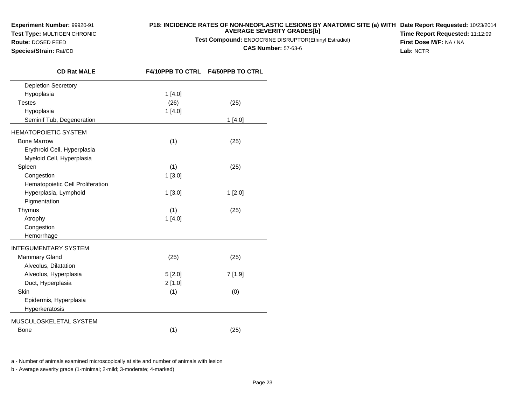**Test Type:** MULTIGEN CHRONIC

**Route:** DOSED FEED**Species/Strain:** Rat/CD

## **P18: INCIDENCE RATES OF NON-NEOPLASTIC LESIONS BY ANATOMIC SITE (a) WITH AVERAGE SEVERITY GRADES[b] Date Report Requested:** 10/23/2014

**Test Compound:** ENDOCRINE DISRUPTOR(Ethinyl Estradiol)

**CAS Number:** 57-63-6

**Time Report Requested:** 11:12:09**First Dose M/F:** NA / NA**Lab:** NCTR

| <b>CD Rat MALE</b>               | F4/10PPB TO CTRL F4/50PPB TO CTRL |        |
|----------------------------------|-----------------------------------|--------|
| <b>Depletion Secretory</b>       |                                   |        |
| Hypoplasia                       | 1[4.0]                            |        |
| <b>Testes</b>                    | (26)                              | (25)   |
| Hypoplasia                       | 1[4.0]                            |        |
| Seminif Tub, Degeneration        |                                   | 1[4.0] |
| <b>HEMATOPOIETIC SYSTEM</b>      |                                   |        |
| <b>Bone Marrow</b>               | (1)                               | (25)   |
| Erythroid Cell, Hyperplasia      |                                   |        |
| Myeloid Cell, Hyperplasia        |                                   |        |
| Spleen                           | (1)                               | (25)   |
| Congestion                       | 1[3.0]                            |        |
| Hematopoietic Cell Proliferation |                                   |        |
| Hyperplasia, Lymphoid            | 1[3.0]                            | 1[2.0] |
| Pigmentation                     |                                   |        |
| Thymus                           | (1)                               | (25)   |
| Atrophy                          | 1[4.0]                            |        |
| Congestion                       |                                   |        |
| Hemorrhage                       |                                   |        |
| <b>INTEGUMENTARY SYSTEM</b>      |                                   |        |
| <b>Mammary Gland</b>             | (25)                              | (25)   |
| Alveolus, Dilatation             |                                   |        |
| Alveolus, Hyperplasia            | 5[2.0]                            | 7[1.9] |
| Duct, Hyperplasia                | 2[1.0]                            |        |
| Skin                             | (1)                               | (0)    |
| Epidermis, Hyperplasia           |                                   |        |
| Hyperkeratosis                   |                                   |        |
| MUSCULOSKELETAL SYSTEM           |                                   |        |
| Bone                             | (1)                               | (25)   |

a - Number of animals examined microscopically at site and number of animals with lesion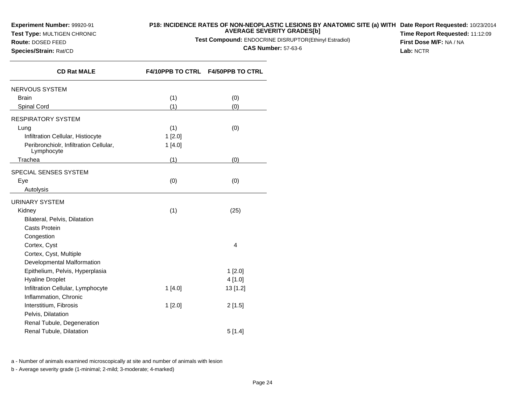**Test Type:** MULTIGEN CHRONIC

## **P18: INCIDENCE RATES OF NON-NEOPLASTIC LESIONS BY ANATOMIC SITE (a) WITH AVERAGE SEVERITY GRADES[b] Date Report Requested:** 10/23/2014

**Test Compound:** ENDOCRINE DISRUPTOR(Ethinyl Estradiol)

**CAS Number:** 57-63-6

**Time Report Requested:** 11:12:09**First Dose M/F:** NA / NA**Lab:** NCTR

**Species/Strain:** Rat/CD

**Route:** DOSED FEED

| <b>CD Rat MALE</b>                                   | F4/10PPB TO CTRL F4/50PPB TO CTRL |          |
|------------------------------------------------------|-----------------------------------|----------|
| NERVOUS SYSTEM                                       |                                   |          |
| <b>Brain</b>                                         | (1)                               | (0)      |
| Spinal Cord                                          | (1)                               | (0)      |
| RESPIRATORY SYSTEM                                   |                                   |          |
| Lung                                                 | (1)                               | (0)      |
| Infiltration Cellular, Histiocyte                    | 1[2.0]                            |          |
| Peribronchiolr, Infiltration Cellular,<br>Lymphocyte | 1[4.0]                            |          |
| Trachea                                              | (1)                               | (0)      |
| SPECIAL SENSES SYSTEM                                |                                   |          |
| Eye                                                  | (0)                               | (0)      |
| Autolysis                                            |                                   |          |
| URINARY SYSTEM                                       |                                   |          |
| Kidney                                               | (1)                               | (25)     |
| Bilateral, Pelvis, Dilatation                        |                                   |          |
| Casts Protein                                        |                                   |          |
| Congestion                                           |                                   |          |
| Cortex, Cyst                                         |                                   | 4        |
| Cortex, Cyst, Multiple                               |                                   |          |
| Developmental Malformation                           |                                   |          |
| Epithelium, Pelvis, Hyperplasia                      |                                   | 1 [2.0]  |
| <b>Hyaline Droplet</b>                               |                                   | 4[1.0]   |
| Infiltration Cellular, Lymphocyte                    | 1[4.0]                            | 13 [1.2] |
| Inflammation, Chronic                                |                                   |          |
| Interstitium, Fibrosis                               | 1[2.0]                            | 2[1.5]   |
| Pelvis, Dilatation                                   |                                   |          |
| Renal Tubule, Degeneration                           |                                   |          |
| Renal Tubule, Dilatation                             |                                   | 5[1.4]   |
|                                                      |                                   |          |

a - Number of animals examined microscopically at site and number of animals with lesion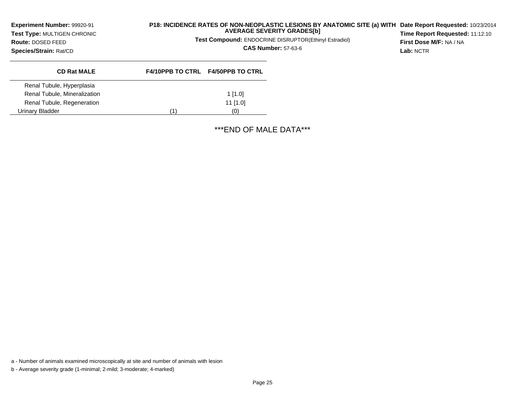**Experiment Number:** 99920-91 **Test Type:** MULTIGEN CHRONIC**Route:** DOSED FEED**Species/Strain:** Rat/CD

# **P18: INCIDENCE RATES OF NON-NEOPLASTIC LESIONS BY ANATOMIC SITE (a) WITH AVERAGE SEVERITY GRADES[b] Date Report Requested:** 10/23/2014

**Test Compound:** ENDOCRINE DISRUPTOR(Ethinyl Estradiol)

**CAS Number:** 57-63-6

**Time Report Requested:** 11:12:10**First Dose M/F:** NA / NA**Lab:** NCTR

| <b>CD Rat MALE</b>           |     | <b>F4/10PPB TO CTRL F4/50PPB TO CTRL</b> |
|------------------------------|-----|------------------------------------------|
| Renal Tubule, Hyperplasia    |     |                                          |
| Renal Tubule, Mineralization |     | $1$ [1.0]                                |
| Renal Tubule, Regeneration   |     | $11$ [1.0]                               |
| Urinarv Bladder              | (1) | (0)                                      |

\*\*\*END OF MALE DATA\*\*\*

a - Number of animals examined microscopically at site and number of animals with lesion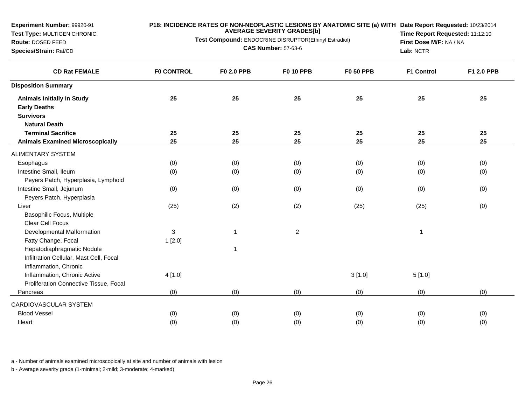**Test Type:** MULTIGEN CHRONIC

**Route:** DOSED FEED**Species/Strain:** Rat/CD

#### **P18: INCIDENCE RATES OF NON-NEOPLASTIC LESIONS BY ANATOMIC SITE (a) WITH AVERAGE SEVERITY GRADES[b] Date Report Requested:** 10/23/2014

**Test Compound:** ENDOCRINE DISRUPTOR(Ethinyl Estradiol)**CAS Number:** 57-63-6

**Time Report Requested:** 11:12:10**First Dose M/F:** NA / NA**Lab:** NCTR

| <b>CD Rat FEMALE</b>                    | <b>F0 CONTROL</b> | F0 2.0 PPB     | <b>F0 10 PPB</b> | <b>F0 50 PPB</b> | <b>F1 Control</b> | F1 2.0 PPB |
|-----------------------------------------|-------------------|----------------|------------------|------------------|-------------------|------------|
| <b>Disposition Summary</b>              |                   |                |                  |                  |                   |            |
| <b>Animals Initially In Study</b>       | 25                | 25             | 25               | 25               | 25                | 25         |
| <b>Early Deaths</b>                     |                   |                |                  |                  |                   |            |
| <b>Survivors</b>                        |                   |                |                  |                  |                   |            |
| <b>Natural Death</b>                    |                   |                |                  |                  |                   |            |
| <b>Terminal Sacrifice</b>               | 25                | 25             | 25               | 25               | 25                | 25         |
| <b>Animals Examined Microscopically</b> | 25                | 25             | 25               | 25               | 25                | 25         |
| ALIMENTARY SYSTEM                       |                   |                |                  |                  |                   |            |
| Esophagus                               | (0)               | (0)            | (0)              | (0)              | (0)               | (0)        |
| Intestine Small, Ileum                  | (0)               | (0)            | (0)              | (0)              | (0)               | (0)        |
| Peyers Patch, Hyperplasia, Lymphoid     |                   |                |                  |                  |                   |            |
| Intestine Small, Jejunum                | (0)               | (0)            | (0)              | (0)              | (0)               | (0)        |
| Peyers Patch, Hyperplasia               |                   |                |                  |                  |                   |            |
| Liver                                   | (25)              | (2)            | (2)              | (25)             | (25)              | (0)        |
| Basophilic Focus, Multiple              |                   |                |                  |                  |                   |            |
| Clear Cell Focus                        |                   |                |                  |                  |                   |            |
| Developmental Malformation              | 3                 | $\mathbf{1}$   | $\mathbf{2}$     |                  | $\mathbf{1}$      |            |
| Fatty Change, Focal                     | 1[2.0]            |                |                  |                  |                   |            |
| Hepatodiaphragmatic Nodule              |                   | $\overline{1}$ |                  |                  |                   |            |
| Infiltration Cellular, Mast Cell, Focal |                   |                |                  |                  |                   |            |
| Inflammation, Chronic                   |                   |                |                  |                  |                   |            |
| Inflammation, Chronic Active            | 4[1.0]            |                |                  | 3[1.0]           | 5[1.0]            |            |
| Proliferation Connective Tissue, Focal  |                   |                |                  |                  |                   |            |
| Pancreas                                | (0)               | (0)            | (0)              | (0)              | (0)               | (0)        |
| CARDIOVASCULAR SYSTEM                   |                   |                |                  |                  |                   |            |
| <b>Blood Vessel</b>                     | (0)               | (0)            | (0)              | (0)              | (0)               | (0)        |
| Heart                                   | (0)               | (0)            | (0)              | (0)              | (0)               | (0)        |
|                                         |                   |                |                  |                  |                   |            |

a - Number of animals examined microscopically at site and number of animals with lesion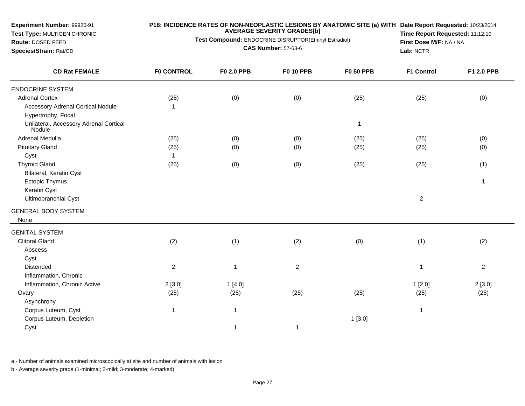**Test Type:** MULTIGEN CHRONIC

**Route:** DOSED FEED**Species/Strain:** Rat/CD

## **P18: INCIDENCE RATES OF NON-NEOPLASTIC LESIONS BY ANATOMIC SITE (a) WITH AVERAGE SEVERITY GRADES[b] Date Report Requested:** 10/23/2014

**Test Compound:** ENDOCRINE DISRUPTOR(Ethinyl Estradiol)

**CAS Number:** 57-63-6

**Time Report Requested:** 11:12:10**First Dose M/F:** NA / NA**Lab:** NCTR

| <b>CD Rat FEMALE</b>                                          | <b>F0 CONTROL</b> | F0 2.0 PPB     | <b>F0 10 PPB</b> | <b>F0 50 PPB</b> | <b>F1 Control</b> | F1 2.0 PPB       |
|---------------------------------------------------------------|-------------------|----------------|------------------|------------------|-------------------|------------------|
| <b>ENDOCRINE SYSTEM</b>                                       |                   |                |                  |                  |                   |                  |
| <b>Adrenal Cortex</b>                                         | (25)              | (0)            | (0)              | (25)             | (25)              | (0)              |
| <b>Accessory Adrenal Cortical Nodule</b>                      | 1                 |                |                  |                  |                   |                  |
| Hypertrophy, Focal                                            |                   |                |                  |                  |                   |                  |
| Unilateral, Accessory Adrenal Cortical<br>Nodule <sup>®</sup> |                   |                |                  | $\mathbf{1}$     |                   |                  |
| <b>Adrenal Medulla</b>                                        | (25)              | (0)            | (0)              | (25)             | (25)              | (0)              |
| <b>Pituitary Gland</b>                                        | (25)              | (0)            | (0)              | (25)             | (25)              | (0)              |
| Cyst                                                          | 1                 |                |                  |                  |                   |                  |
| <b>Thyroid Gland</b>                                          | (25)              | (0)            | (0)              | (25)             | (25)              | (1)              |
| Bilateral, Keratin Cyst                                       |                   |                |                  |                  |                   |                  |
| <b>Ectopic Thymus</b>                                         |                   |                |                  |                  |                   | $\mathbf{1}$     |
| Keratin Cyst                                                  |                   |                |                  |                  |                   |                  |
| Ultimobranchial Cyst                                          |                   |                |                  |                  | $\overline{2}$    |                  |
| <b>GENERAL BODY SYSTEM</b>                                    |                   |                |                  |                  |                   |                  |
| None                                                          |                   |                |                  |                  |                   |                  |
| <b>GENITAL SYSTEM</b>                                         |                   |                |                  |                  |                   |                  |
| <b>Clitoral Gland</b>                                         | (2)               | (1)            | (2)              | (0)              | (1)               | (2)              |
| Abscess                                                       |                   |                |                  |                  |                   |                  |
| Cyst                                                          |                   |                |                  |                  |                   |                  |
| Distended                                                     | $\overline{2}$    | $\overline{1}$ | $\overline{2}$   |                  |                   | $\boldsymbol{2}$ |
| Inflammation, Chronic                                         |                   |                |                  |                  |                   |                  |
| Inflammation, Chronic Active                                  | 2[3.0]            | 1[4.0]         |                  |                  | 1[2.0]            | 2[3.0]           |
| Ovary                                                         | (25)              | (25)           | (25)             | (25)             | (25)              | (25)             |
| Asynchrony                                                    |                   |                |                  |                  |                   |                  |
| Corpus Luteum, Cyst                                           | $\overline{1}$    | $\overline{1}$ |                  |                  | 1                 |                  |
| Corpus Luteum, Depletion                                      |                   |                |                  | 1[3.0]           |                   |                  |
| Cyst                                                          |                   | 1              | 1                |                  |                   |                  |
|                                                               |                   |                |                  |                  |                   |                  |

a - Number of animals examined microscopically at site and number of animals with lesion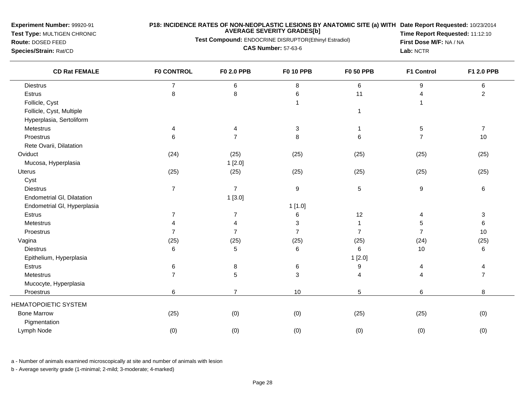**Test Type:** MULTIGEN CHRONIC

## **P18: INCIDENCE RATES OF NON-NEOPLASTIC LESIONS BY ANATOMIC SITE (a) WITH AVERAGE SEVERITY GRADES[b] Date Report Requested:** 10/23/2014

**Test Compound:** ENDOCRINE DISRUPTOR(Ethinyl Estradiol)

**Route:** DOSED FEED**Species/Strain:** Rat/CD

**CAS Number:** 57-63-6

**Time Report Requested:** 11:12:10**First Dose M/F:** NA / NA**Lab:** NCTR

| <b>CD Rat FEMALE</b>        | <b>F0 CONTROL</b> | <b>F0 2.0 PPB</b> | <b>F0 10 PPB</b> | <b>F0 50 PPB</b> | F1 Control       | F1 2.0 PPB     |
|-----------------------------|-------------------|-------------------|------------------|------------------|------------------|----------------|
| <b>Diestrus</b>             | $\overline{7}$    | 6                 | 8                | 6                | 9                | 6              |
| Estrus                      | 8                 | 8                 | 6                | 11               | 4                | $\overline{c}$ |
| Follicle, Cyst              |                   |                   | $\mathbf{1}$     |                  |                  |                |
| Follicle, Cyst, Multiple    |                   |                   |                  | 1                |                  |                |
| Hyperplasia, Sertoliform    |                   |                   |                  |                  |                  |                |
| Metestrus                   | 4                 | 4                 | 3                |                  | 5                | $\overline{7}$ |
| Proestrus                   | $\,6$             | $\overline{7}$    | 8                | 6                | $\overline{7}$   | 10             |
| Rete Ovarii, Dilatation     |                   |                   |                  |                  |                  |                |
| Oviduct                     | (24)              | (25)              | (25)             | (25)             | (25)             | (25)           |
| Mucosa, Hyperplasia         |                   | 1[2.0]            |                  |                  |                  |                |
| Uterus                      | (25)              | (25)              | (25)             | (25)             | (25)             | (25)           |
| Cyst                        |                   |                   |                  |                  |                  |                |
| <b>Diestrus</b>             | $\overline{7}$    | $\overline{7}$    | $\boldsymbol{9}$ | 5                | $\boldsymbol{9}$ | 6              |
| Endometrial GI, Dilatation  |                   | 1[3.0]            |                  |                  |                  |                |
| Endometrial GI, Hyperplasia |                   |                   | 1[1.0]           |                  |                  |                |
| Estrus                      | $\overline{7}$    | $\overline{7}$    | 6                | 12               | 4                | 3              |
| Metestrus                   | $\overline{4}$    |                   | 3                |                  | 5                | 6              |
| Proestrus                   | $\overline{7}$    | $\overline{7}$    | $\overline{7}$   | $\overline{7}$   | $\overline{7}$   | 10             |
| Vagina                      | (25)              | (25)              | (25)             | (25)             | (24)             | (25)           |
| <b>Diestrus</b>             | 6                 | 5                 | 6                | 6                | 10               | 6              |
| Epithelium, Hyperplasia     |                   |                   |                  | 1[2.0]           |                  |                |
| Estrus                      | 6                 | 8                 | 6                | 9                | 4                | 4              |
| Metestrus                   | $\overline{7}$    | 5                 | $\sqrt{3}$       | 4                | $\overline{4}$   | $\overline{7}$ |
| Mucocyte, Hyperplasia       |                   |                   |                  |                  |                  |                |
| Proestrus                   | 6                 | $\overline{7}$    | 10               | 5                | 6                | 8              |
| <b>HEMATOPOIETIC SYSTEM</b> |                   |                   |                  |                  |                  |                |
| <b>Bone Marrow</b>          | (25)              | (0)               | (0)              | (25)             | (25)             | (0)            |
| Pigmentation                |                   |                   |                  |                  |                  |                |
| Lymph Node                  | (0)               | (0)               | (0)              | (0)              | (0)              | (0)            |
|                             |                   |                   |                  |                  |                  |                |

a - Number of animals examined microscopically at site and number of animals with lesion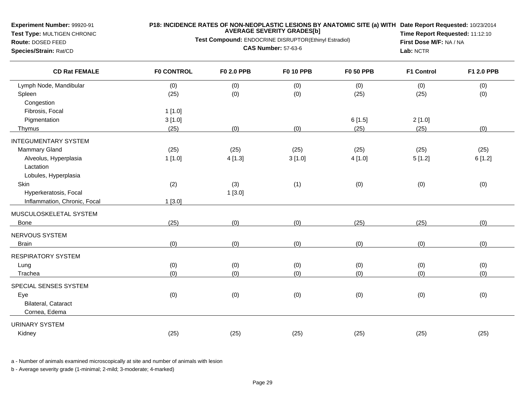**Test Type:** MULTIGEN CHRONIC

# **P18: INCIDENCE RATES OF NON-NEOPLASTIC LESIONS BY ANATOMIC SITE (a) WITH AVERAGE SEVERITY GRADES[b] Date Report Requested:** 10/23/2014

**Test Compound:** ENDOCRINE DISRUPTOR(Ethinyl Estradiol)

**Route:** DOSED FEED**Species/Strain:** Rat/CD

**CAS Number:** 57-63-6

**Time Report Requested:** 11:12:10**First Dose M/F:** NA / NA**Lab:** NCTR

| <b>CD Rat FEMALE</b>         | <b>F0 CONTROL</b> | <b>F0 2.0 PPB</b> | <b>F0 10 PPB</b> | <b>F0 50 PPB</b> | <b>F1 Control</b> | F1 2.0 PPB |
|------------------------------|-------------------|-------------------|------------------|------------------|-------------------|------------|
| Lymph Node, Mandibular       | (0)               | (0)               | (0)              | (0)              | (0)               | (0)        |
| Spleen                       | (25)              | (0)               | (0)              | (25)             | (25)              | (0)        |
| Congestion                   |                   |                   |                  |                  |                   |            |
| Fibrosis, Focal              | 1[1.0]            |                   |                  |                  |                   |            |
| Pigmentation                 | 3[1.0]            |                   |                  | 6[1.5]           | 2[1.0]            |            |
| Thymus                       | (25)              | (0)               | (0)              | (25)             | (25)              | (0)        |
| <b>INTEGUMENTARY SYSTEM</b>  |                   |                   |                  |                  |                   |            |
| <b>Mammary Gland</b>         | (25)              | (25)              | (25)             | (25)             | (25)              | (25)       |
| Alveolus, Hyperplasia        | 1[1.0]            | 4[1.3]            | 3[1.0]           | 4 [1.0]          | 5[1.2]            | 6[1.2]     |
| Lactation                    |                   |                   |                  |                  |                   |            |
| Lobules, Hyperplasia         |                   |                   |                  |                  |                   |            |
| Skin                         | (2)               | (3)               | (1)              | (0)              | (0)               | (0)        |
| Hyperkeratosis, Focal        |                   | 1[3.0]            |                  |                  |                   |            |
| Inflammation, Chronic, Focal | 1[3.0]            |                   |                  |                  |                   |            |
| MUSCULOSKELETAL SYSTEM       |                   |                   |                  |                  |                   |            |
| Bone                         | (25)              | (0)               | (0)              | (25)             | (25)              | (0)        |
| NERVOUS SYSTEM               |                   |                   |                  |                  |                   |            |
| <b>Brain</b>                 | (0)               | (0)               | (0)              | (0)              | (0)               | (0)        |
|                              |                   |                   |                  |                  |                   |            |
| <b>RESPIRATORY SYSTEM</b>    |                   |                   |                  |                  |                   |            |
| Lung                         | (0)               | (0)               | (0)              | (0)              | (0)               | (0)        |
| Trachea                      | (0)               | (0)               | (0)              | (0)              | (0)               | (0)        |
| SPECIAL SENSES SYSTEM        |                   |                   |                  |                  |                   |            |
| Eye                          | (0)               | (0)               | (0)              | (0)              | (0)               | (0)        |
| Bilateral, Cataract          |                   |                   |                  |                  |                   |            |
| Cornea, Edema                |                   |                   |                  |                  |                   |            |
| <b>URINARY SYSTEM</b>        |                   |                   |                  |                  |                   |            |
| Kidney                       | (25)              | (25)              | (25)             | (25)             | (25)              | (25)       |

a - Number of animals examined microscopically at site and number of animals with lesion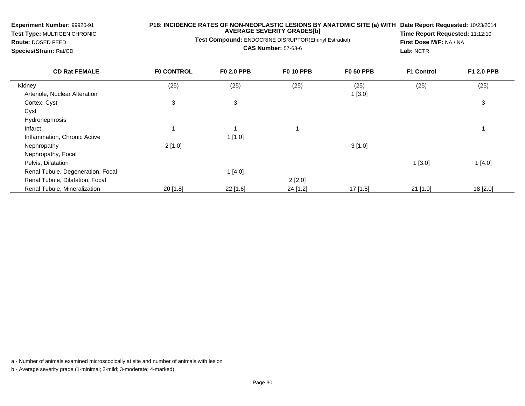**Test Type:** MULTIGEN CHRONIC

# **P18: INCIDENCE RATES OF NON-NEOPLASTIC LESIONS BY ANATOMIC SITE (a) WITH AVERAGE SEVERITY GRADES[b] Date Report Requested:** 10/23/2014

**Test Compound:** ENDOCRINE DISRUPTOR(Ethinyl Estradiol)

**Route:** DOSED FEED**Species/Strain:** Rat/CD

**CAS Number:** 57-63-6

**Time Report Requested:** 11:12:10**First Dose M/F:** NA / NA**Lab:** NCTR

| <b>CD Rat FEMALE</b>              | <b>FO CONTROL</b> | <b>F0 2.0 PPB</b> | <b>F0 10 PPB</b> | <b>F0 50 PPB</b> | <b>F1 Control</b> | F1 2.0 PPB |
|-----------------------------------|-------------------|-------------------|------------------|------------------|-------------------|------------|
| Kidney                            | (25)              | (25)              | (25)             | (25)             | (25)              | (25)       |
| Arteriole, Nuclear Alteration     |                   |                   |                  | 1[3.0]           |                   |            |
| Cortex, Cyst                      | 3                 | 3                 |                  |                  |                   | 3          |
| Cyst                              |                   |                   |                  |                  |                   |            |
| Hydronephrosis                    |                   |                   |                  |                  |                   |            |
| Infarct                           |                   |                   |                  |                  |                   |            |
| Inflammation, Chronic Active      |                   | 1[1.0]            |                  |                  |                   |            |
| Nephropathy                       | 2[1.0]            |                   |                  | 3[1.0]           |                   |            |
| Nephropathy, Focal                |                   |                   |                  |                  |                   |            |
| Pelvis, Dilatation                |                   |                   |                  |                  | 1[3.0]            | 1[4.0]     |
| Renal Tubule, Degeneration, Focal |                   | 1[4.0]            |                  |                  |                   |            |
| Renal Tubule, Dilatation, Focal   |                   |                   | 2[2.0]           |                  |                   |            |
| Renal Tubule, Mineralization      | $20$ [1.8]        | 22 [1.6]          | 24 [1.2]         | $17$ [1.5]       | $21$ [1.9]        | 18 [2.0]   |

a - Number of animals examined microscopically at site and number of animals with lesion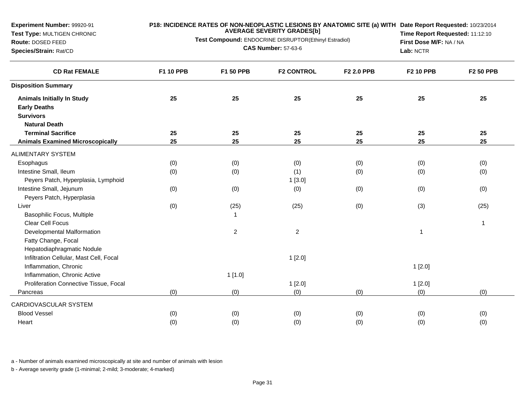**Test Type:** MULTIGEN CHRONIC

**Route:** DOSED FEED**Species/Strain:** Rat/CD

#### **P18: INCIDENCE RATES OF NON-NEOPLASTIC LESIONS BY ANATOMIC SITE (a) WITH AVERAGE SEVERITY GRADES[b] Date Report Requested:** 10/23/2014

**Test Compound:** ENDOCRINE DISRUPTOR(Ethinyl Estradiol)

**CAS Number:** 57-63-6

**Time Report Requested:** 11:12:10**First Dose M/F:** NA / NA**Lab:** NCTR

| <b>CD Rat FEMALE</b>                    | <b>F1 10 PPB</b> | F1 50 PPB      | <b>F2 CONTROL</b>       | F2 2.0 PPB | <b>F2 10 PPB</b> | <b>F2 50 PPB</b> |
|-----------------------------------------|------------------|----------------|-------------------------|------------|------------------|------------------|
| <b>Disposition Summary</b>              |                  |                |                         |            |                  |                  |
| <b>Animals Initially In Study</b>       | 25               | 25             | 25                      | 25         | 25               | 25               |
| <b>Early Deaths</b>                     |                  |                |                         |            |                  |                  |
| <b>Survivors</b>                        |                  |                |                         |            |                  |                  |
| <b>Natural Death</b>                    |                  |                |                         |            |                  |                  |
| <b>Terminal Sacrifice</b>               | 25               | 25             | 25                      | 25         | 25               | 25               |
| <b>Animals Examined Microscopically</b> | 25               | 25             | 25                      | 25         | 25               | 25               |
| <b>ALIMENTARY SYSTEM</b>                |                  |                |                         |            |                  |                  |
| Esophagus                               | (0)              | (0)            | (0)                     | (0)        | (0)              | (0)              |
| Intestine Small, Ileum                  | (0)              | (0)            | (1)                     | (0)        | (0)              | (0)              |
| Peyers Patch, Hyperplasia, Lymphoid     |                  |                | 1[3.0]                  |            |                  |                  |
| Intestine Small, Jejunum                | (0)              | (0)            | (0)                     | (0)        | (0)              | (0)              |
| Peyers Patch, Hyperplasia               |                  |                |                         |            |                  |                  |
| Liver                                   | (0)              | (25)           | (25)                    | (0)        | (3)              | (25)             |
| Basophilic Focus, Multiple              |                  | 1              |                         |            |                  |                  |
| <b>Clear Cell Focus</b>                 |                  |                |                         |            |                  | 1                |
| Developmental Malformation              |                  | $\overline{c}$ | $\overline{\mathbf{c}}$ |            | 1                |                  |
| Fatty Change, Focal                     |                  |                |                         |            |                  |                  |
| Hepatodiaphragmatic Nodule              |                  |                |                         |            |                  |                  |
| Infiltration Cellular, Mast Cell, Focal |                  |                | 1[2.0]                  |            |                  |                  |
| Inflammation, Chronic                   |                  |                |                         |            | 1[2.0]           |                  |
| Inflammation, Chronic Active            |                  | 1[1.0]         |                         |            |                  |                  |
| Proliferation Connective Tissue, Focal  |                  |                | 1[2.0]                  |            | 1[2.0]           |                  |
| Pancreas                                | (0)              | (0)            | (0)                     | (0)        | (0)              | (0)              |
| CARDIOVASCULAR SYSTEM                   |                  |                |                         |            |                  |                  |
| <b>Blood Vessel</b>                     | (0)              | (0)            | (0)                     | (0)        | (0)              | (0)              |
| Heart                                   | (0)              | (0)            | (0)                     | (0)        | (0)              | (0)              |

a - Number of animals examined microscopically at site and number of animals with lesion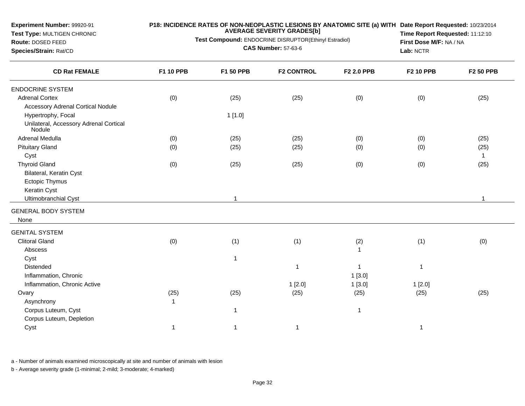**Test Type:** MULTIGEN CHRONIC

#### **P18: INCIDENCE RATES OF NON-NEOPLASTIC LESIONS BY ANATOMIC SITE (a) WITH AVERAGE SEVERITY GRADES[b] Date Report Requested:** 10/23/2014

**Test Compound:** ENDOCRINE DISRUPTOR(Ethinyl Estradiol)

**Route:** DOSED FEED**Species/Strain:** Rat/CD

**CAS Number:** 57-63-6

**Time Report Requested:** 11:12:10**First Dose M/F:** NA / NA**Lab:** NCTR

| <b>CD Rat FEMALE</b>                                          | F1 10 PPB    | F1 50 PPB    | <b>F2 CONTROL</b> | F2 2.0 PPB   | <b>F2 10 PPB</b> | <b>F2 50 PPB</b> |
|---------------------------------------------------------------|--------------|--------------|-------------------|--------------|------------------|------------------|
| <b>ENDOCRINE SYSTEM</b>                                       |              |              |                   |              |                  |                  |
| <b>Adrenal Cortex</b>                                         | (0)          | (25)         | (25)              | (0)          | (0)              | (25)             |
| <b>Accessory Adrenal Cortical Nodule</b>                      |              |              |                   |              |                  |                  |
| Hypertrophy, Focal                                            |              | 1[1.0]       |                   |              |                  |                  |
| Unilateral, Accessory Adrenal Cortical<br>Nodule <sup>®</sup> |              |              |                   |              |                  |                  |
| <b>Adrenal Medulla</b>                                        | (0)          | (25)         | (25)              | (0)          | (0)              | (25)             |
| <b>Pituitary Gland</b>                                        | (0)          | (25)         | (25)              | (0)          | (0)              | (25)             |
| Cyst                                                          |              |              |                   |              |                  | $\mathbf{1}$     |
| <b>Thyroid Gland</b>                                          | (0)          | (25)         | (25)              | (0)          | (0)              | (25)             |
| Bilateral, Keratin Cyst                                       |              |              |                   |              |                  |                  |
| Ectopic Thymus                                                |              |              |                   |              |                  |                  |
| Keratin Cyst                                                  |              |              |                   |              |                  |                  |
| Ultimobranchial Cyst                                          |              |              |                   |              |                  |                  |
| <b>GENERAL BODY SYSTEM</b><br>None                            |              |              |                   |              |                  |                  |
|                                                               |              |              |                   |              |                  |                  |
| <b>GENITAL SYSTEM</b>                                         |              |              |                   |              |                  |                  |
| <b>Clitoral Gland</b>                                         | (0)          | (1)          | (1)               | (2)          | (1)              | (0)              |
| Abscess                                                       |              |              |                   | $\mathbf{1}$ |                  |                  |
| Cyst                                                          |              | $\mathbf{1}$ |                   |              |                  |                  |
| Distended                                                     |              |              | $\mathbf 1$       | -1           | 1                |                  |
| Inflammation, Chronic                                         |              |              |                   | 1[3.0]       |                  |                  |
| Inflammation, Chronic Active                                  |              |              | 1[2.0]            | 1[3.0]       | 1[2.0]           |                  |
| Ovary                                                         | (25)         | (25)         | (25)              | (25)         | (25)             | (25)             |
| Asynchrony                                                    | $\mathbf{1}$ |              |                   |              |                  |                  |
| Corpus Luteum, Cyst                                           |              | $\mathbf{1}$ |                   | $\mathbf{1}$ |                  |                  |
| Corpus Luteum, Depletion                                      |              |              |                   |              |                  |                  |
| Cyst                                                          | -1           | 1            | 1                 |              |                  |                  |

a - Number of animals examined microscopically at site and number of animals with lesion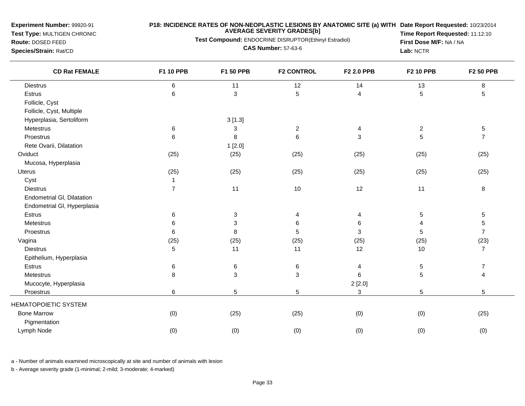**Test Type:** MULTIGEN CHRONIC

### **P18: INCIDENCE RATES OF NON-NEOPLASTIC LESIONS BY ANATOMIC SITE (a) WITH AVERAGE SEVERITY GRADES[b] Date Report Requested:** 10/23/2014

**Test Compound:** ENDOCRINE DISRUPTOR(Ethinyl Estradiol)

**Route:** DOSED FEED**Species/Strain:** Rat/CD

**CAS Number:** 57-63-6

**Time Report Requested:** 11:12:10**First Dose M/F:** NA / NA**Lab:** NCTR

| <b>CD Rat FEMALE</b>        | F1 10 PPB      | F1 50 PPB                 | <b>F2 CONTROL</b> | F2 2.0 PPB | <b>F2 10 PPB</b> | <b>F2 50 PPB</b> |
|-----------------------------|----------------|---------------------------|-------------------|------------|------------------|------------------|
| <b>Diestrus</b>             | 6              | 11                        | 12                | 14         | 13               | 8                |
| Estrus                      | $\,6\,$        | $\mathbf{3}$              | 5                 | 4          | 5                | $\mathbf 5$      |
| Follicle, Cyst              |                |                           |                   |            |                  |                  |
| Follicle, Cyst, Multiple    |                |                           |                   |            |                  |                  |
| Hyperplasia, Sertoliform    |                | 3[1.3]                    |                   |            |                  |                  |
| Metestrus                   | 6              | 3                         | $\boldsymbol{2}$  | 4          | $\overline{c}$   | $\sqrt{5}$       |
| Proestrus                   | 6              | 8                         | 6                 | 3          | 5                | $\overline{7}$   |
| Rete Ovarii, Dilatation     |                | 1[2.0]                    |                   |            |                  |                  |
| Oviduct                     | (25)           | (25)                      | (25)              | (25)       | (25)             | (25)             |
| Mucosa, Hyperplasia         |                |                           |                   |            |                  |                  |
| Uterus                      | (25)           | (25)                      | (25)              | (25)       | (25)             | (25)             |
| Cyst                        | $\mathbf{1}$   |                           |                   |            |                  |                  |
| <b>Diestrus</b>             | $\overline{7}$ | 11                        | $10$              | 12         | 11               | $\, 8$           |
| Endometrial GI, Dilatation  |                |                           |                   |            |                  |                  |
| Endometrial GI, Hyperplasia |                |                           |                   |            |                  |                  |
| Estrus                      | 6              | $\ensuremath{\mathsf{3}}$ | 4                 | 4          | 5                | $\mathbf 5$      |
| Metestrus                   | 6              | 3                         | 6                 | 6          | 4                | $\,$ 5 $\,$      |
| Proestrus                   | 6              | 8                         | 5                 | 3          | 5                | $\overline{7}$   |
| Vagina                      | (25)           | (25)                      | (25)              | (25)       | (25)             | (23)             |
| <b>Diestrus</b>             | 5              | 11                        | 11                | 12         | 10               | $\overline{7}$   |
| Epithelium, Hyperplasia     |                |                           |                   |            |                  |                  |
| Estrus                      | $\,6$          | 6                         | 6                 | 4          | 5                | $\boldsymbol{7}$ |
| Metestrus                   | 8              | 3                         | 3                 | 6          | 5                | 4                |
| Mucocyte, Hyperplasia       |                |                           |                   | 2 [2.0]    |                  |                  |
| Proestrus                   | 6              | 5                         | 5                 | 3          | 5                | 5                |
| <b>HEMATOPOIETIC SYSTEM</b> |                |                           |                   |            |                  |                  |
| <b>Bone Marrow</b>          | (0)            | (25)                      | (25)              | (0)        | (0)              | (25)             |
| Pigmentation                |                |                           |                   |            |                  |                  |
| Lymph Node                  | (0)            | (0)                       | (0)               | (0)        | (0)              | (0)              |
|                             |                |                           |                   |            |                  |                  |

a - Number of animals examined microscopically at site and number of animals with lesion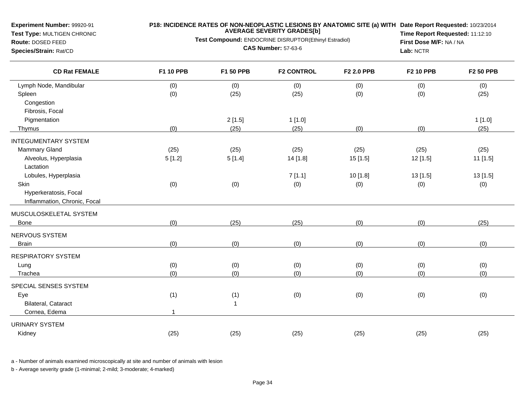**Test Type:** MULTIGEN CHRONIC

# **P18: INCIDENCE RATES OF NON-NEOPLASTIC LESIONS BY ANATOMIC SITE (a) WITH AVERAGE SEVERITY GRADES[b] Date Report Requested:** 10/23/2014

**Test Compound:** ENDOCRINE DISRUPTOR(Ethinyl Estradiol)

**Route:** DOSED FEED**Species/Strain:** Rat/CD

**CAS Number:** 57-63-6

**Time Report Requested:** 11:12:10**First Dose M/F:** NA / NA**Lab:** NCTR

| <b>CD Rat FEMALE</b>         | <b>F1 10 PPB</b> | F1 50 PPB | <b>F2 CONTROL</b> | F2 2.0 PPB | <b>F2 10 PPB</b> | <b>F2 50 PPB</b> |
|------------------------------|------------------|-----------|-------------------|------------|------------------|------------------|
| Lymph Node, Mandibular       | (0)              | (0)       | (0)               | (0)        | (0)              | (0)              |
| Spleen                       | (0)              | (25)      | (25)              | (0)        | (0)              | (25)             |
| Congestion                   |                  |           |                   |            |                  |                  |
| Fibrosis, Focal              |                  |           |                   |            |                  |                  |
| Pigmentation                 |                  | 2[1.5]    | 1[1.0]            |            |                  | 1[1.0]           |
| Thymus                       | (0)              | (25)      | (25)              | (0)        | (0)              | (25)             |
| <b>INTEGUMENTARY SYSTEM</b>  |                  |           |                   |            |                  |                  |
| Mammary Gland                | (25)             | (25)      | (25)              | (25)       | (25)             | (25)             |
| Alveolus, Hyperplasia        | 5[1.2]           | 5[1.4]    | 14 [1.8]          | 15 [1.5]   | 12 [1.5]         | 11 [1.5]         |
| Lactation                    |                  |           |                   |            |                  |                  |
| Lobules, Hyperplasia         |                  |           | 7[1.1]            | 10 [1.8]   | 13 [1.5]         | 13 [1.5]         |
| Skin                         | (0)              | (0)       | (0)               | (0)        | (0)              | (0)              |
| Hyperkeratosis, Focal        |                  |           |                   |            |                  |                  |
| Inflammation, Chronic, Focal |                  |           |                   |            |                  |                  |
| MUSCULOSKELETAL SYSTEM       |                  |           |                   |            |                  |                  |
| Bone                         | (0)              | (25)      | (25)              | (0)        | (0)              | (25)             |
| NERVOUS SYSTEM               |                  |           |                   |            |                  |                  |
| <b>Brain</b>                 | (0)              | (0)       | (0)               | (0)        | (0)              | (0)              |
| <b>RESPIRATORY SYSTEM</b>    |                  |           |                   |            |                  |                  |
| Lung                         | (0)              | (0)       | (0)               | (0)        | (0)              | (0)              |
| Trachea                      | (0)              | (0)       | (0)               | (0)        | (0)              | (0)              |
| SPECIAL SENSES SYSTEM        |                  |           |                   |            |                  |                  |
| Eye                          | (1)              | (1)       | (0)               | (0)        | (0)              | (0)              |
| Bilateral, Cataract          |                  | 1         |                   |            |                  |                  |
| Cornea, Edema                |                  |           |                   |            |                  |                  |
| <b>URINARY SYSTEM</b>        |                  |           |                   |            |                  |                  |
| Kidney                       | (25)             | (25)      | (25)              | (25)       | (25)             | (25)             |

a - Number of animals examined microscopically at site and number of animals with lesion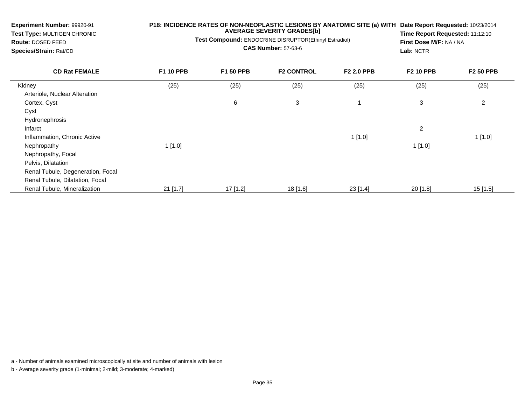| <b>Experiment Number: 99920-91</b><br>Test Type: MULTIGEN CHRONIC<br><b>Route: DOSED FEED</b><br>Species/Strain: Rat/CD | P18: INCIDENCE RATES OF NON-NEOPLASTIC LESIONS BY ANATOMIC SITE (a) WITH<br>Test Compound: ENDOCRINE DISRUPTOR(Ethinyl Estradiol) | Date Report Requested: 10/23/2014<br>Time Report Requested: 11:12:10<br>First Dose M/F: NA / NA<br>Lab: NCTR |                   |            |                  |                  |
|-------------------------------------------------------------------------------------------------------------------------|-----------------------------------------------------------------------------------------------------------------------------------|--------------------------------------------------------------------------------------------------------------|-------------------|------------|------------------|------------------|
| <b>CD Rat FEMALE</b>                                                                                                    | <b>F1 10 PPB</b>                                                                                                                  | <b>F1 50 PPB</b>                                                                                             | <b>F2 CONTROL</b> | F2 2.0 PPB | <b>F2 10 PPB</b> | <b>F2 50 PPB</b> |
| Kidney                                                                                                                  | (25)                                                                                                                              | (25)                                                                                                         | (25)              | (25)       | (25)             | (25)             |
| Arteriole, Nuclear Alteration                                                                                           |                                                                                                                                   |                                                                                                              |                   |            |                  |                  |
| Cortex, Cyst                                                                                                            |                                                                                                                                   | 6                                                                                                            | 3                 |            | 3                | 2                |
| Cyst                                                                                                                    |                                                                                                                                   |                                                                                                              |                   |            |                  |                  |
| <b>Hydronephrosis</b>                                                                                                   |                                                                                                                                   |                                                                                                              |                   |            |                  |                  |
| Infarct                                                                                                                 |                                                                                                                                   |                                                                                                              |                   |            | $\overline{c}$   |                  |
| Inflammation, Chronic Active                                                                                            |                                                                                                                                   |                                                                                                              |                   | 1[1.0]     |                  | 1[1.0]           |
| Nephropathy                                                                                                             | 1[1.0]                                                                                                                            |                                                                                                              |                   |            | 1[1.0]           |                  |
| Nephropathy, Focal                                                                                                      |                                                                                                                                   |                                                                                                              |                   |            |                  |                  |
| Pelvis, Dilatation                                                                                                      |                                                                                                                                   |                                                                                                              |                   |            |                  |                  |
| Renal Tubule, Degeneration, Focal                                                                                       |                                                                                                                                   |                                                                                                              |                   |            |                  |                  |
| Renal Tubule, Dilatation, Focal                                                                                         |                                                                                                                                   |                                                                                                              |                   |            |                  |                  |
| Renal Tubule, Mineralization                                                                                            | $21$ [1.7]                                                                                                                        | $17$ [1.2]                                                                                                   | 18 [1.6]          | 23 [1.4]   | $20$ [1.8]       | $15$ [1.5]       |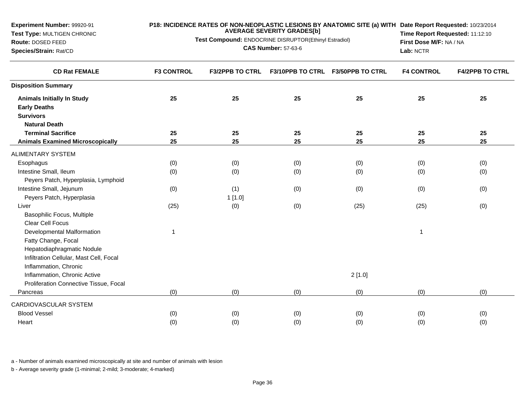| Experiment Number: 99920-91                 |                   | <b>AVERAGE SEVERITY GRADES[b]</b>                     | P18: INCIDENCE RATES OF NON-NEOPLASTIC LESIONS BY ANATOMIC SITE (a) WITH Date Report Requested: 10/23/2014 |                                   |                                 |                         |  |  |
|---------------------------------------------|-------------------|-------------------------------------------------------|------------------------------------------------------------------------------------------------------------|-----------------------------------|---------------------------------|-------------------------|--|--|
| Test Type: MULTIGEN CHRONIC                 |                   | Test Compound: ENDOCRINE DISRUPTOR(Ethinyl Estradiol) |                                                                                                            |                                   | Time Report Requested: 11:12:10 |                         |  |  |
| Route: DOSED FEED<br>Species/Strain: Rat/CD |                   |                                                       | <b>CAS Number: 57-63-6</b>                                                                                 |                                   | Lab: NCTR                       | First Dose M/F: NA / NA |  |  |
|                                             |                   |                                                       |                                                                                                            |                                   |                                 |                         |  |  |
| <b>CD Rat FEMALE</b>                        | <b>F3 CONTROL</b> | <b>F3/2PPB TO CTRL</b>                                |                                                                                                            | F3/10PPB TO CTRL F3/50PPB TO CTRL | <b>F4 CONTROL</b>               | <b>F4/2PPB TO CTRL</b>  |  |  |
| <b>Disposition Summary</b>                  |                   |                                                       |                                                                                                            |                                   |                                 |                         |  |  |
| <b>Animals Initially In Study</b>           | 25                | 25                                                    | 25                                                                                                         | 25                                | 25                              | 25                      |  |  |
| <b>Early Deaths</b>                         |                   |                                                       |                                                                                                            |                                   |                                 |                         |  |  |
| <b>Survivors</b>                            |                   |                                                       |                                                                                                            |                                   |                                 |                         |  |  |
| <b>Natural Death</b>                        |                   |                                                       |                                                                                                            |                                   |                                 |                         |  |  |
| <b>Terminal Sacrifice</b>                   | 25                | 25                                                    | 25                                                                                                         | 25                                | 25                              | 25                      |  |  |
| <b>Animals Examined Microscopically</b>     | 25                | 25                                                    | 25                                                                                                         | 25                                | 25                              | 25                      |  |  |
| ALIMENTARY SYSTEM                           |                   |                                                       |                                                                                                            |                                   |                                 |                         |  |  |
| Esophagus                                   | (0)               | (0)                                                   | (0)                                                                                                        | (0)                               | (0)                             | (0)                     |  |  |
| Intestine Small, Ileum                      | (0)               | (0)                                                   | (0)                                                                                                        | (0)                               | (0)                             | (0)                     |  |  |
| Peyers Patch, Hyperplasia, Lymphoid         |                   |                                                       |                                                                                                            |                                   |                                 |                         |  |  |
| Intestine Small, Jejunum                    | (0)               | (1)                                                   | (0)                                                                                                        | (0)                               | (0)                             | (0)                     |  |  |
| Peyers Patch, Hyperplasia                   |                   | 1[1.0]                                                |                                                                                                            |                                   |                                 |                         |  |  |
| Liver                                       | (25)              | (0)                                                   | (0)                                                                                                        | (25)                              | (25)                            | (0)                     |  |  |
| Basophilic Focus, Multiple                  |                   |                                                       |                                                                                                            |                                   |                                 |                         |  |  |
| Clear Cell Focus                            |                   |                                                       |                                                                                                            |                                   |                                 |                         |  |  |
| Developmental Malformation                  | $\mathbf{1}$      |                                                       |                                                                                                            |                                   | $\mathbf{1}$                    |                         |  |  |
| Fatty Change, Focal                         |                   |                                                       |                                                                                                            |                                   |                                 |                         |  |  |
| Hepatodiaphragmatic Nodule                  |                   |                                                       |                                                                                                            |                                   |                                 |                         |  |  |
| Infiltration Cellular, Mast Cell, Focal     |                   |                                                       |                                                                                                            |                                   |                                 |                         |  |  |
| Inflammation, Chronic                       |                   |                                                       |                                                                                                            |                                   |                                 |                         |  |  |
| Inflammation, Chronic Active                |                   |                                                       |                                                                                                            | 2[1.0]                            |                                 |                         |  |  |
| Proliferation Connective Tissue, Focal      |                   |                                                       |                                                                                                            |                                   |                                 |                         |  |  |
| Pancreas                                    | (0)               | (0)                                                   | (0)                                                                                                        | (0)                               | (0)                             | (0)                     |  |  |
| CARDIOVASCULAR SYSTEM                       |                   |                                                       |                                                                                                            |                                   |                                 |                         |  |  |
| <b>Blood Vessel</b>                         | (0)               | (0)                                                   | (0)                                                                                                        | (0)                               | (0)                             | (0)                     |  |  |
| Heart                                       | (0)               | (0)                                                   | (0)                                                                                                        | (0)                               | (0)                             | (0)                     |  |  |
|                                             |                   |                                                       |                                                                                                            |                                   |                                 |                         |  |  |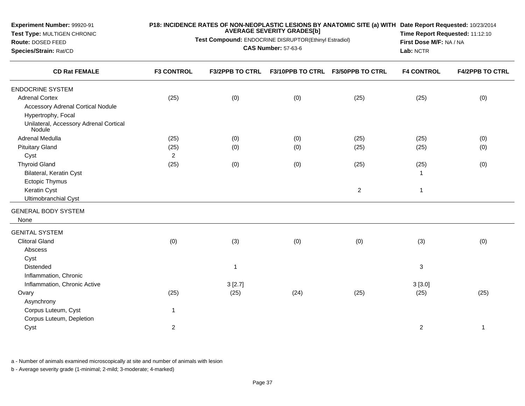| Experiment Number: 99920-91<br>Test Type: MULTIGEN CHRONIC          |                   | <b>AVERAGE SEVERITY GRADES[b]</b>                                                   | P18: INCIDENCE RATES OF NON-NEOPLASTIC LESIONS BY ANATOMIC SITE (a) WITH Date Report Requested: 10/23/2014<br>Time Report Requested: 11:12:10<br>First Dose M/F: NA / NA<br>Lab: NCTR |                                   |                   |                        |
|---------------------------------------------------------------------|-------------------|-------------------------------------------------------------------------------------|---------------------------------------------------------------------------------------------------------------------------------------------------------------------------------------|-----------------------------------|-------------------|------------------------|
| Route: DOSED FEED<br>Species/Strain: Rat/CD<br><b>CD Rat FEMALE</b> |                   | Test Compound: ENDOCRINE DISRUPTOR(Ethinyl Estradiol)<br><b>CAS Number: 57-63-6</b> |                                                                                                                                                                                       |                                   |                   |                        |
|                                                                     | <b>F3 CONTROL</b> | <b>F3/2PPB TO CTRL</b>                                                              |                                                                                                                                                                                       | F3/10PPB TO CTRL F3/50PPB TO CTRL | <b>F4 CONTROL</b> | <b>F4/2PPB TO CTRL</b> |
| <b>ENDOCRINE SYSTEM</b>                                             |                   |                                                                                     |                                                                                                                                                                                       |                                   |                   |                        |
| <b>Adrenal Cortex</b>                                               | (25)              | (0)                                                                                 | (0)                                                                                                                                                                                   | (25)                              | (25)              | (0)                    |
| <b>Accessory Adrenal Cortical Nodule</b>                            |                   |                                                                                     |                                                                                                                                                                                       |                                   |                   |                        |
| Hypertrophy, Focal                                                  |                   |                                                                                     |                                                                                                                                                                                       |                                   |                   |                        |
| Unilateral, Accessory Adrenal Cortical<br>Nodule <sup>®</sup>       |                   |                                                                                     |                                                                                                                                                                                       |                                   |                   |                        |
| Adrenal Medulla                                                     | (25)              | (0)                                                                                 | (0)                                                                                                                                                                                   | (25)                              | (25)              | (0)                    |
| <b>Pituitary Gland</b>                                              | (25)              | (0)                                                                                 | (0)                                                                                                                                                                                   | (25)                              | (25)              | (0)                    |
| Cyst                                                                | $\overline{2}$    |                                                                                     |                                                                                                                                                                                       |                                   |                   |                        |
| <b>Thyroid Gland</b>                                                | (25)              | (0)                                                                                 | (0)                                                                                                                                                                                   | (25)                              | (25)              | (0)                    |
| Bilateral, Keratin Cyst                                             |                   |                                                                                     |                                                                                                                                                                                       |                                   | $\mathbf{1}$      |                        |
| Ectopic Thymus                                                      |                   |                                                                                     |                                                                                                                                                                                       |                                   |                   |                        |
| Keratin Cyst                                                        |                   |                                                                                     |                                                                                                                                                                                       | $\overline{2}$                    | $\mathbf{1}$      |                        |
| <b>Ultimobranchial Cyst</b>                                         |                   |                                                                                     |                                                                                                                                                                                       |                                   |                   |                        |
| <b>GENERAL BODY SYSTEM</b><br>None                                  |                   |                                                                                     |                                                                                                                                                                                       |                                   |                   |                        |
| <b>GENITAL SYSTEM</b>                                               |                   |                                                                                     |                                                                                                                                                                                       |                                   |                   |                        |
| <b>Clitoral Gland</b>                                               | (0)               | (3)                                                                                 | (0)                                                                                                                                                                                   | (0)                               | (3)               | (0)                    |
| Abscess                                                             |                   |                                                                                     |                                                                                                                                                                                       |                                   |                   |                        |
| Cyst                                                                |                   |                                                                                     |                                                                                                                                                                                       |                                   |                   |                        |
| Distended                                                           |                   | $\mathbf 1$                                                                         |                                                                                                                                                                                       |                                   | 3                 |                        |
| Inflammation, Chronic                                               |                   |                                                                                     |                                                                                                                                                                                       |                                   |                   |                        |
| Inflammation, Chronic Active                                        |                   | 3[2.7]                                                                              |                                                                                                                                                                                       |                                   | 3[3.0]            |                        |
| Ovary                                                               | (25)              | (25)                                                                                | (24)                                                                                                                                                                                  | (25)                              | (25)              | (25)                   |
| Asynchrony                                                          |                   |                                                                                     |                                                                                                                                                                                       |                                   |                   |                        |
| Corpus Luteum, Cyst                                                 | $\mathbf{1}$      |                                                                                     |                                                                                                                                                                                       |                                   |                   |                        |
| Corpus Luteum, Depletion                                            |                   |                                                                                     |                                                                                                                                                                                       |                                   |                   |                        |
| Cyst                                                                | $\overline{2}$    |                                                                                     |                                                                                                                                                                                       |                                   | $\overline{a}$    | $\mathbf{1}$           |
|                                                                     |                   |                                                                                     |                                                                                                                                                                                       |                                   |                   |                        |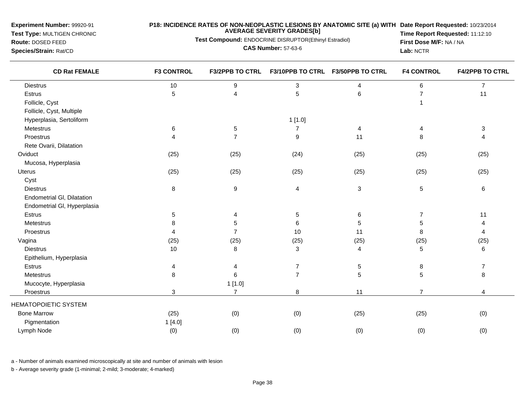**Test Type:** MULTIGEN CHRONIC

**Route:** DOSED FEED**Species/Strain:** Rat/CD

## **P18: INCIDENCE RATES OF NON-NEOPLASTIC LESIONS BY ANATOMIC SITE (a) WITH AVERAGE SEVERITY GRADES[b] Date Report Requested:** 10/23/2014

**Test Compound:** ENDOCRINE DISRUPTOR(Ethinyl Estradiol)

**CAS Number:** 57-63-6

**Time Report Requested:** 11:12:10**First Dose M/F:** NA / NA**Lab:** NCTR

| <b>CD Rat FEMALE</b>        | <b>F3 CONTROL</b> | <b>F3/2PPB TO CTRL</b> |                           | F3/10PPB TO CTRL F3/50PPB TO CTRL | <b>F4 CONTROL</b> | <b>F4/2PPB TO CTRL</b> |
|-----------------------------|-------------------|------------------------|---------------------------|-----------------------------------|-------------------|------------------------|
| <b>Diestrus</b>             | $10$              | $\boldsymbol{9}$       | $\ensuremath{\mathsf{3}}$ | 4                                 | 6                 | $\overline{7}$         |
| <b>Estrus</b>               | 5                 | $\overline{A}$         | 5                         | 6                                 | $\overline{7}$    | 11                     |
| Follicle, Cyst              |                   |                        |                           |                                   |                   |                        |
| Follicle, Cyst, Multiple    |                   |                        |                           |                                   |                   |                        |
| Hyperplasia, Sertoliform    |                   |                        | 1[1.0]                    |                                   |                   |                        |
| Metestrus                   | 6                 | $\sqrt{5}$             | $\overline{7}$            | 4                                 | 4                 | 3                      |
| Proestrus                   | 4                 | $\overline{7}$         | $\boldsymbol{9}$          | 11                                | 8                 | $\overline{4}$         |
| Rete Ovarii, Dilatation     |                   |                        |                           |                                   |                   |                        |
| Oviduct                     | (25)              | (25)                   | (24)                      | (25)                              | (25)              | (25)                   |
| Mucosa, Hyperplasia         |                   |                        |                           |                                   |                   |                        |
| <b>Uterus</b>               | (25)              | (25)                   | (25)                      | (25)                              | (25)              | (25)                   |
| Cyst                        |                   |                        |                           |                                   |                   |                        |
| <b>Diestrus</b>             | 8                 | $\boldsymbol{9}$       | $\overline{4}$            | $\mathbf{3}$                      | 5                 | $\,6$                  |
| Endometrial GI, Dilatation  |                   |                        |                           |                                   |                   |                        |
| Endometrial GI, Hyperplasia |                   |                        |                           |                                   |                   |                        |
| Estrus                      | 5                 | 4                      | $\,$ 5 $\,$               | 6                                 | 7                 | 11                     |
| Metestrus                   | 8                 | 5                      | $\,6\,$                   | 5                                 | 5                 | 4                      |
| Proestrus                   | 4                 | $\overline{7}$         | 10                        | 11                                | 8                 | $\overline{4}$         |
| Vagina                      | (25)              | (25)                   | (25)                      | (25)                              | (25)              | (25)                   |
| <b>Diestrus</b>             | 10                | 8                      | $\mathbf{3}$              | 4                                 | 5                 | 6                      |
| Epithelium, Hyperplasia     |                   |                        |                           |                                   |                   |                        |
| Estrus                      | 4                 | 4                      | $\overline{7}$            | 5                                 | 8                 | 7                      |
| Metestrus                   | 8                 | 6                      | $\overline{7}$            | $\sqrt{5}$                        | 5                 | 8                      |
| Mucocyte, Hyperplasia       |                   | 1[1.0]                 |                           |                                   |                   |                        |
| Proestrus                   | 3                 | $\overline{7}$         | 8                         | 11                                | $\overline{7}$    | 4                      |
| <b>HEMATOPOIETIC SYSTEM</b> |                   |                        |                           |                                   |                   |                        |
| <b>Bone Marrow</b>          | (25)              | (0)                    | (0)                       | (25)                              | (25)              | (0)                    |
| Pigmentation                | 1[4.0]            |                        |                           |                                   |                   |                        |
| Lymph Node                  | (0)               | (0)                    | (0)                       | (0)                               | (0)               | (0)                    |

a - Number of animals examined microscopically at site and number of animals with lesion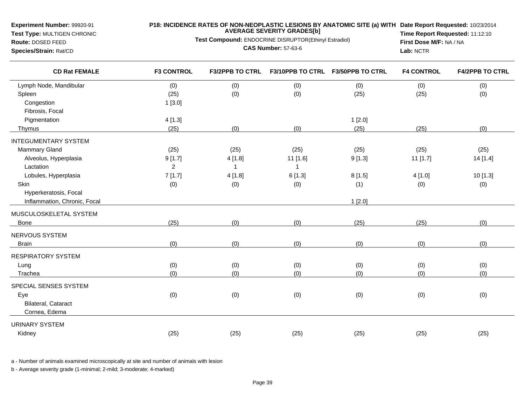**Test Type:** MULTIGEN CHRONIC**Route:** DOSED FEED

**Species/Strain:** Rat/CD

## **P18: INCIDENCE RATES OF NON-NEOPLASTIC LESIONS BY ANATOMIC SITE (a) WITH AVERAGE SEVERITY GRADES[b] Date Report Requested:** 10/23/2014

**Test Compound:** ENDOCRINE DISRUPTOR(Ethinyl Estradiol)

**CAS Number:** 57-63-6

**Time Report Requested:** 11:12:10**First Dose M/F:** NA / NA**Lab:** NCTR

| <b>CD Rat FEMALE</b>         | <b>F3 CONTROL</b> | <b>F3/2PPB TO CTRL</b> |          | F3/10PPB TO CTRL F3/50PPB TO CTRL | <b>F4 CONTROL</b> | <b>F4/2PPB TO CTRL</b> |
|------------------------------|-------------------|------------------------|----------|-----------------------------------|-------------------|------------------------|
| Lymph Node, Mandibular       | (0)               | (0)                    | (0)      | (0)                               | (0)               | (0)                    |
| Spleen                       | (25)              | (0)                    | (0)      | (25)                              | (25)              | (0)                    |
| Congestion                   | 1[3.0]            |                        |          |                                   |                   |                        |
| Fibrosis, Focal              |                   |                        |          |                                   |                   |                        |
| Pigmentation                 | 4[1.3]            |                        |          | 1[2.0]                            |                   |                        |
| Thymus                       | (25)              | (0)                    | (0)      | (25)                              | (25)              | (0)                    |
| <b>INTEGUMENTARY SYSTEM</b>  |                   |                        |          |                                   |                   |                        |
| Mammary Gland                | (25)              | (25)                   | (25)     | (25)                              | (25)              | (25)                   |
| Alveolus, Hyperplasia        | 9[1.7]            | 4[1.8]                 | 11 [1.6] | 9[1.3]                            | $11$ [1.7]        | 14 [1.4]               |
| Lactation                    | $\overline{c}$    | $\overline{1}$         |          |                                   |                   |                        |
| Lobules, Hyperplasia         | 7[1.7]            | 4[1.8]                 | 6[1.3]   | 8[1.5]                            | 4 [1.0]           | 10 [1.3]               |
| Skin                         | (0)               | (0)                    | (0)      | (1)                               | (0)               | (0)                    |
| Hyperkeratosis, Focal        |                   |                        |          |                                   |                   |                        |
| Inflammation, Chronic, Focal |                   |                        |          | 1[2.0]                            |                   |                        |
| MUSCULOSKELETAL SYSTEM       |                   |                        |          |                                   |                   |                        |
| Bone                         | (25)              | (0)                    | (0)      | (25)                              | (25)              | (0)                    |
| NERVOUS SYSTEM               |                   |                        |          |                                   |                   |                        |
| <b>Brain</b>                 | (0)               | (0)                    | (0)      | (0)                               | (0)               | (0)                    |
| <b>RESPIRATORY SYSTEM</b>    |                   |                        |          |                                   |                   |                        |
| Lung                         | (0)               | (0)                    | (0)      | (0)                               | (0)               | (0)                    |
| Trachea                      | (0)               | (0)                    | (0)      | (0)                               | (0)               | (0)                    |
| SPECIAL SENSES SYSTEM        |                   |                        |          |                                   |                   |                        |
| Eye                          | (0)               | (0)                    | (0)      | (0)                               | (0)               | (0)                    |
| Bilateral, Cataract          |                   |                        |          |                                   |                   |                        |
| Cornea, Edema                |                   |                        |          |                                   |                   |                        |
| <b>URINARY SYSTEM</b>        |                   |                        |          |                                   |                   |                        |
| Kidney                       | (25)              | (25)                   | (25)     | (25)                              | (25)              | (25)                   |
|                              |                   |                        |          |                                   |                   |                        |

a - Number of animals examined microscopically at site and number of animals with lesion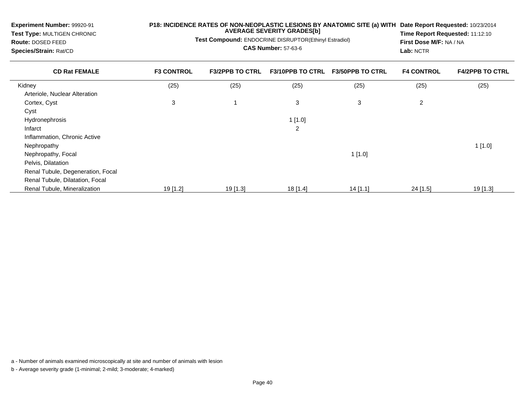| Experiment Number: 99920-91<br><b>Test Type: MULTIGEN CHRONIC</b><br>Route: DOSED FEED<br>Species/Strain: Rat/CD | P18: INCIDENCE RATES OF NON-NEOPLASTIC LESIONS BY ANATOMIC SITE (a) WITH<br><b>AVERAGE SEVERITY GRADES[b]</b><br>Test Compound: ENDOCRINE DISRUPTOR(Ethinyl Estradiol)<br><b>CAS Number: 57-63-6</b> |                        |                         |                         | Date Report Requested: 10/23/2014<br><b>Time Report Requested: 11:12:10</b><br>First Dose M/F: NA / NA<br>Lab: NCTR |                        |
|------------------------------------------------------------------------------------------------------------------|------------------------------------------------------------------------------------------------------------------------------------------------------------------------------------------------------|------------------------|-------------------------|-------------------------|---------------------------------------------------------------------------------------------------------------------|------------------------|
| <b>CD Rat FEMALE</b>                                                                                             | <b>F3 CONTROL</b>                                                                                                                                                                                    | <b>F3/2PPB TO CTRL</b> | <b>F3/10PPB TO CTRL</b> | <b>F3/50PPB TO CTRL</b> | <b>F4 CONTROL</b>                                                                                                   | <b>F4/2PPB TO CTRL</b> |
| Kidney                                                                                                           | (25)                                                                                                                                                                                                 | (25)                   | (25)                    | (25)                    | (25)                                                                                                                | (25)                   |
| Arteriole, Nuclear Alteration                                                                                    |                                                                                                                                                                                                      |                        |                         |                         |                                                                                                                     |                        |
| Cortex, Cyst                                                                                                     | 3                                                                                                                                                                                                    |                        | 3                       | 3                       | $\overline{2}$                                                                                                      |                        |
| Cyst                                                                                                             |                                                                                                                                                                                                      |                        |                         |                         |                                                                                                                     |                        |
| <b>Hydronephrosis</b>                                                                                            |                                                                                                                                                                                                      |                        | 1[1.0]                  |                         |                                                                                                                     |                        |
| Infarct                                                                                                          |                                                                                                                                                                                                      |                        | 2                       |                         |                                                                                                                     |                        |
| Inflammation, Chronic Active                                                                                     |                                                                                                                                                                                                      |                        |                         |                         |                                                                                                                     |                        |
| Nephropathy                                                                                                      |                                                                                                                                                                                                      |                        |                         |                         |                                                                                                                     | 1[1.0]                 |
| Nephropathy, Focal                                                                                               |                                                                                                                                                                                                      |                        |                         | 1[1.0]                  |                                                                                                                     |                        |
| Pelvis, Dilatation                                                                                               |                                                                                                                                                                                                      |                        |                         |                         |                                                                                                                     |                        |
| Renal Tubule, Degeneration, Focal                                                                                |                                                                                                                                                                                                      |                        |                         |                         |                                                                                                                     |                        |
| Renal Tubule, Dilatation, Focal                                                                                  |                                                                                                                                                                                                      |                        |                         |                         |                                                                                                                     |                        |
| Renal Tubule, Mineralization                                                                                     | 19 [1.2]                                                                                                                                                                                             | $19$ [1.3]             | 18 [1.4]                | $14$ [1.1]              | $24$ [1.5]                                                                                                          | 19 [1.3]               |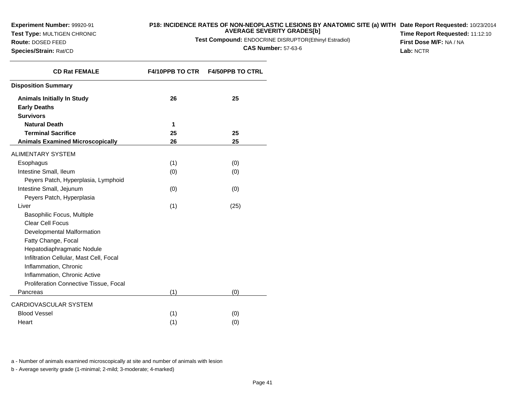**Test Type:** MULTIGEN CHRONIC

**Route:** DOSED FEED**Species/Strain:** Rat/CD

#### **P18: INCIDENCE RATES OF NON-NEOPLASTIC LESIONS BY ANATOMIC SITE (a) WITH AVERAGE SEVERITY GRADES[b] Date Report Requested:** 10/23/2014

**Test Compound:** ENDOCRINE DISRUPTOR(Ethinyl Estradiol)

**CAS Number:** 57-63-6

**Time Report Requested:** 11:12:10**First Dose M/F:** NA / NA**Lab:** NCTR

| <b>CD Rat FEMALE</b>                    | <b>F4/10PPB TO CTR</b> | <b>F4/50PPB TO CTRL</b> |
|-----------------------------------------|------------------------|-------------------------|
| <b>Disposition Summary</b>              |                        |                         |
| <b>Animals Initially In Study</b>       | 26                     | 25                      |
| <b>Early Deaths</b>                     |                        |                         |
| <b>Survivors</b>                        |                        |                         |
| <b>Natural Death</b>                    | 1                      |                         |
| <b>Terminal Sacrifice</b>               | 25                     | 25                      |
| <b>Animals Examined Microscopically</b> | 26                     | 25                      |
| <b>ALIMENTARY SYSTEM</b>                |                        |                         |
| Esophagus                               | (1)                    | (0)                     |
| Intestine Small, Ileum                  | (0)                    | (0)                     |
| Peyers Patch, Hyperplasia, Lymphoid     |                        |                         |
| Intestine Small, Jejunum                | (0)                    | (0)                     |
| Peyers Patch, Hyperplasia               |                        |                         |
| Liver                                   | (1)                    | (25)                    |
| Basophilic Focus, Multiple              |                        |                         |
| <b>Clear Cell Focus</b>                 |                        |                         |
| Developmental Malformation              |                        |                         |
| Fatty Change, Focal                     |                        |                         |
| Hepatodiaphragmatic Nodule              |                        |                         |
| Infiltration Cellular, Mast Cell, Focal |                        |                         |
| Inflammation, Chronic                   |                        |                         |
| Inflammation, Chronic Active            |                        |                         |
| Proliferation Connective Tissue, Focal  |                        |                         |
| Pancreas                                | (1)                    | (0)                     |
| CARDIOVASCULAR SYSTEM                   |                        |                         |
| <b>Blood Vessel</b>                     | (1)                    | (0)                     |
| Heart                                   | (1)                    | (0)                     |

a - Number of animals examined microscopically at site and number of animals with lesion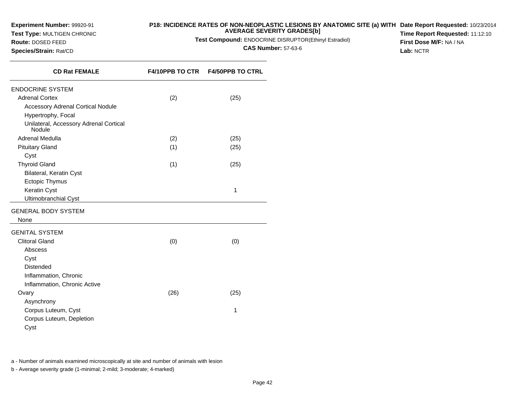**Test Type:** MULTIGEN CHRONIC

## **P18: INCIDENCE RATES OF NON-NEOPLASTIC LESIONS BY ANATOMIC SITE (a) WITH AVERAGE SEVERITY GRADES[b] Date Report Requested:** 10/23/2014

**Test Compound:** ENDOCRINE DISRUPTOR(Ethinyl Estradiol)

**CAS Number:** 57-63-6

**Time Report Requested:** 11:12:10**First Dose M/F:** NA / NA**Lab:** NCTR

**Species/Strain:** Rat/CD

**Route:** DOSED FEED

| <b>CD Rat FEMALE</b>                             |      | F4/10PPB TO CTR    F4/50PPB TO CTRL |
|--------------------------------------------------|------|-------------------------------------|
| <b>ENDOCRINE SYSTEM</b>                          |      |                                     |
| <b>Adrenal Cortex</b>                            | (2)  | (25)                                |
| <b>Accessory Adrenal Cortical Nodule</b>         |      |                                     |
| Hypertrophy, Focal                               |      |                                     |
| Unilateral, Accessory Adrenal Cortical<br>Nodule |      |                                     |
| Adrenal Medulla                                  | (2)  | (25)                                |
| <b>Pituitary Gland</b>                           | (1)  | (25)                                |
| Cyst                                             |      |                                     |
| <b>Thyroid Gland</b>                             | (1)  | (25)                                |
| Bilateral, Keratin Cyst                          |      |                                     |
| <b>Ectopic Thymus</b>                            |      |                                     |
| Keratin Cyst                                     |      | 1                                   |
| Ultimobranchial Cyst                             |      |                                     |
| <b>GENERAL BODY SYSTEM</b><br>None               |      |                                     |
|                                                  |      |                                     |
| <b>GENITAL SYSTEM</b>                            |      |                                     |
| <b>Clitoral Gland</b>                            | (0)  | (0)                                 |
| Abscess                                          |      |                                     |
| Cyst                                             |      |                                     |
| <b>Distended</b>                                 |      |                                     |
| Inflammation, Chronic                            |      |                                     |
| Inflammation, Chronic Active                     |      |                                     |
| Ovary                                            | (26) | (25)                                |
| Asynchrony                                       |      |                                     |
| Corpus Luteum, Cyst                              |      | 1                                   |
| Corpus Luteum, Depletion                         |      |                                     |
| Cyst                                             |      |                                     |

a - Number of animals examined microscopically at site and number of animals with lesion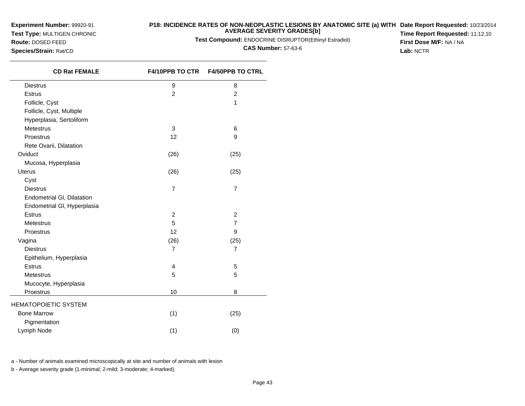**Experiment Number:** 99920-91**Test Type:** MULTIGEN CHRONIC

**Route:** DOSED FEED**Species/Strain:** Rat/CD

#### **P18: INCIDENCE RATES OF NON-NEOPLASTIC LESIONS BY ANATOMIC SITE (a) WITH AVERAGE SEVERITY GRADES[b] Date Report Requested:** 10/23/2014

**Test Compound:** ENDOCRINE DISRUPTOR(Ethinyl Estradiol)

**CAS Number:** 57-63-6

**Time Report Requested:** 11:12:10**First Dose M/F:** NA / NA**Lab:** NCTR

| <b>CD Rat FEMALE</b>        | F4/10PPB TO CTR  | <b>F4/50PPB TO CTRL</b> |
|-----------------------------|------------------|-------------------------|
| <b>Diestrus</b>             | $\boldsymbol{9}$ | 8                       |
| <b>Estrus</b>               | $\overline{2}$   | $\overline{c}$          |
| Follicle, Cyst              |                  | 1                       |
| Follicle, Cyst, Multiple    |                  |                         |
| Hyperplasia, Sertoliform    |                  |                         |
| Metestrus                   | 3                | 6                       |
| Proestrus                   | 12               | 9                       |
| Rete Ovarii, Dilatation     |                  |                         |
| Oviduct                     | (26)             | (25)                    |
| Mucosa, Hyperplasia         |                  |                         |
| Uterus                      | (26)             | (25)                    |
| Cyst                        |                  |                         |
| <b>Diestrus</b>             | $\overline{7}$   | $\overline{7}$          |
| Endometrial GI, Dilatation  |                  |                         |
| Endometrial GI, Hyperplasia |                  |                         |
| <b>Estrus</b>               | $\overline{2}$   | $\overline{2}$          |
| <b>Metestrus</b>            | 5                | $\overline{7}$          |
| Proestrus                   | 12               | 9                       |
| Vagina                      | (26)             | (25)                    |
| <b>Diestrus</b>             | $\overline{7}$   | $\overline{7}$          |
| Epithelium, Hyperplasia     |                  |                         |
| <b>Estrus</b>               | 4                | 5                       |
| <b>Metestrus</b>            | 5                | 5                       |
| Mucocyte, Hyperplasia       |                  |                         |
| Proestrus                   | 10               | 8                       |
| <b>HEMATOPOIETIC SYSTEM</b> |                  |                         |
| <b>Bone Marrow</b>          | (1)              | (25)                    |
| Pigmentation                |                  |                         |
| Lymph Node                  | (1)              | (0)                     |

a - Number of animals examined microscopically at site and number of animals with lesion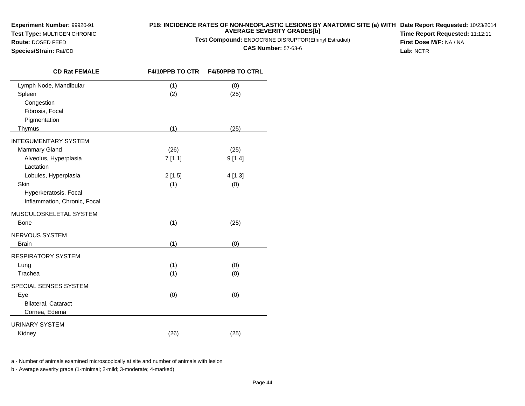# **Test Type:** MULTIGEN CHRONIC

# **Route:** DOSED FEED

**P18: INCIDENCE RATES OF NON-NEOPLASTIC LESIONS BY ANATOMIC SITE (a) WITH AVERAGE SEVERITY GRADES[b] Date Report Requested:** 10/23/2014

**Test Compound:** ENDOCRINE DISRUPTOR(Ethinyl Estradiol)

**CAS Number:** 57-63-6

**Time Report Requested:** 11:12:11**First Dose M/F:** NA / NA**Lab:** NCTR

**Species/Strain:** Rat/CD

| <b>CD Rat FEMALE</b>         | <b>F4/10PPB TO CTR</b> | <b>F4/50PPB TO CTRL</b> |
|------------------------------|------------------------|-------------------------|
| Lymph Node, Mandibular       | (1)                    | (0)                     |
| Spleen                       | (2)                    | (25)                    |
| Congestion                   |                        |                         |
| Fibrosis, Focal              |                        |                         |
| Pigmentation                 |                        |                         |
| Thymus                       | (1)                    | (25)                    |
| <b>INTEGUMENTARY SYSTEM</b>  |                        |                         |
| Mammary Gland                | (26)                   | (25)                    |
| Alveolus, Hyperplasia        | 7[1.1]                 | 9[1.4]                  |
| Lactation                    |                        |                         |
| Lobules, Hyperplasia         | 2[1.5]                 | 4[1.3]                  |
| Skin                         | (1)                    | (0)                     |
| Hyperkeratosis, Focal        |                        |                         |
| Inflammation, Chronic, Focal |                        |                         |
| MUSCULOSKELETAL SYSTEM       |                        |                         |
| <b>Bone</b>                  | (1)                    | (25)                    |
| NERVOUS SYSTEM               |                        |                         |
| <b>Brain</b>                 | (1)                    | (0)                     |
| <b>RESPIRATORY SYSTEM</b>    |                        |                         |
| Lung                         | (1)                    | (0)                     |
| Trachea                      | (1)                    | (0)                     |
| SPECIAL SENSES SYSTEM        |                        |                         |
| Eye                          | (0)                    | (0)                     |
| Bilateral, Cataract          |                        |                         |
| Cornea, Edema                |                        |                         |
| <b>URINARY SYSTEM</b>        |                        |                         |
| Kidney                       | (26)                   | (25)                    |

a - Number of animals examined microscopically at site and number of animals with lesion